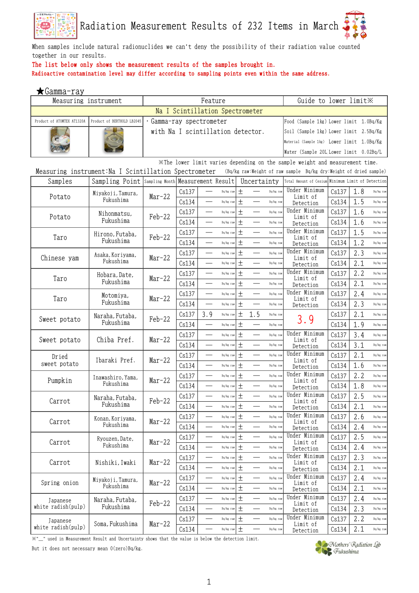

When samples include natural radionuclides we can't deny the possibility of their radiation value counted together in our results.

### The list below only shows the measurement results of the samples brought in.

Radioactive contamination level may differ according to sampling points even within the same address.

| ★Gamm <u>a-ray</u>         |                                                       |                                   |       |                          |                                 |       |             |           |                                                                                          |       |     |           |
|----------------------------|-------------------------------------------------------|-----------------------------------|-------|--------------------------|---------------------------------|-------|-------------|-----------|------------------------------------------------------------------------------------------|-------|-----|-----------|
| Measuring instrument       |                                                       |                                   |       | Feature                  |                                 |       |             |           | Guide to lower limit X                                                                   |       |     |           |
|                            |                                                       |                                   |       |                          | Na I Scintillation Spectrometer |       |             |           |                                                                                          |       |     |           |
| Product of ATOMTEX AT1320A | Product of BERTHOLD LB2045                            | Gamma-ray spectrometer            |       |                          |                                 |       |             |           | Food (Sample 1kg) Lower limit 1.0Bq/Kg                                                   |       |     |           |
|                            |                                                       | with Na I scintillation detector. |       |                          |                                 |       |             |           | Soil (Sample 1kg) Lower limit 2.5Bq/Kg                                                   |       |     |           |
|                            |                                                       |                                   |       |                          |                                 |       |             |           | Material (Sample 1kg) Lower limit 1.0Bq/Kg                                               |       |     |           |
|                            |                                                       |                                   |       |                          |                                 |       |             |           | Water (Sample 20L Lower limit 0.02Bq/L                                                   |       |     |           |
|                            |                                                       |                                   |       |                          |                                 |       |             |           | $\mathbb{X}$ The lower limit varies depending on the sample weight and measurement time. |       |     |           |
|                            | Measuring instrument: Na I Scintillation Spectrometer |                                   |       |                          |                                 |       |             |           | (Bq/kg raw:Weight of raw sample Bq/kg dry:Weight of dried sample)                        |       |     |           |
| Samples                    | Sampling Point Sampling Month Measurement Result      |                                   |       |                          |                                 |       | Uncertainty |           | Total Amount of Cesium Minimum Limit of Detection                                        |       |     |           |
|                            | Miyakoji,Tamura,                                      |                                   | Cs137 |                          | Bq/kg raw                       | $\pm$ |             | Bq/kg raw | Under Minimum                                                                            | Cs137 | 1.8 | Bq/kg raw |
| Potato                     | Fukushima                                             | $Mar-22$                          | Cs134 |                          | Bq/kg raw                       | 土     |             | Bq/kg raw | Limit of<br>Detection                                                                    | Cs134 | 1.5 | Bq/kg raw |
|                            |                                                       |                                   | Cs137 |                          | Bq/kg raw                       | $\pm$ |             | Bq/kg raw | Under Minimum                                                                            | Cs137 | 1.6 | Bq/kg raw |
| Potato                     | Nihonmatsu,<br>Fukushima                              | Feb-22                            | Cs134 |                          | Bq/kg raw                       | $\pm$ |             | Bq/kg raw | Limit of                                                                                 | Cs134 | 1.6 | Bq/kg raw |
|                            |                                                       |                                   |       |                          |                                 | $\pm$ |             | Bq/kg raw | Detection<br>Under Minimum                                                               | Cs137 | 1.5 |           |
| Taro                       | Hirono, Futaba,<br>Fukushima                          | $Feb-22$                          | Cs137 |                          | Bq/kg raw                       |       |             |           | Limit of                                                                                 |       |     | Bq/kg raw |
|                            |                                                       |                                   | Cs134 | $\overline{\phantom{0}}$ | Bq/kg raw                       | $\pm$ |             | Bq/kg raw | Detection                                                                                | Cs134 | 1.2 | Bq/kg raw |
| Chinese yam                | Asaka,Koriyama,<br>Fukushima                          | $Mar-22$                          | Cs137 |                          | Bq/kg raw                       | $\pm$ |             | Bq/kg raw | Under Minimum<br>Limit of                                                                | Cs137 | 2.3 | Bq/kg raw |
|                            |                                                       |                                   | Cs134 | $\sim$                   | Bq/kg raw                       | $\pm$ |             | Bq/kg raw | Detection                                                                                | Cs134 | 2.1 | Bq/kg raw |
| Taro                       | Hobara, Date,                                         | $Mar-22$                          | Cs137 |                          | Bq/kg raw                       | $\pm$ |             | Bq/kg raw | Under Minimum<br>Limit of                                                                | Cs137 | 2.2 | Bq/kg raw |
|                            | Fukushima                                             |                                   | Cs134 |                          | Bq/kg raw                       | $\pm$ |             | Bq/kg raw | Detection                                                                                | Cs134 | 2.1 | Bq/kg raw |
| Taro                       | Motomiya,                                             | $Mar-22$                          | Cs137 | $\overline{\phantom{0}}$ | Bq/kg raw                       | $\pm$ |             | Bq/kg raw | Under Minimum<br>Limit of                                                                | Cs137 | 2.4 | Bq/kg raw |
|                            | Fukushima                                             |                                   | Cs134 |                          | Bq/kg raw                       | 土     |             | Bq/kg raw | Detection                                                                                | Cs134 | 2.3 | Bq/kg raw |
|                            | Naraha, Futaba,                                       |                                   | Cs137 | 3.9                      | Bq/kg raw                       | $\pm$ | 1.5         | Bq/kg raw |                                                                                          | Cs137 | 2.1 | Bq/kg raw |
| Sweet potato               | Fukushima                                             | $Feb-22$                          | Cs134 |                          | Bq/kg raw                       | $\pm$ |             | Bq/kg raw | 3.9                                                                                      | Cs134 | 1.9 | Bq/kg raw |
|                            |                                                       |                                   | Cs137 | $\overline{\phantom{a}}$ | Bq/kg raw                       | $\pm$ |             | Bq/kg raw | Under Minimum                                                                            | Cs137 | 3.4 | Bq/kg raw |
| Sweet potato               | Chiba Pref.                                           | Mar-22                            | Cs134 |                          | Bq/kg raw                       | $\pm$ |             | Bq/kg raw | Limit of<br>Detection                                                                    | Cs134 | 3.1 | Bq/kg raw |
| Dried                      |                                                       |                                   | Cs137 |                          | Bq/kg raw                       | $\pm$ |             | Bq/kg raw | Under Minimum                                                                            | Cs137 | 2.1 | Bq/kg raw |
| sweet potato               | Ibaraki Pref.                                         | $Mar-22$                          | Cs134 |                          | Bq/kg raw                       | $\pm$ |             | Bq/kg raw | Limit of<br>Detection                                                                    | Cs134 | 1.6 | Bq/kg raw |
|                            |                                                       |                                   | Cs137 |                          | Bq/kg raw                       | $\pm$ |             | Bq/kg raw | Under Minimum                                                                            | Cs137 | 2.2 | Bq/kg raw |
| Pumpkin                    | Inawashiro, Yama,<br>Fukushima                        | $Mar-22$                          | Cs134 | ÷,                       | Bq/kg raw                       | $\pm$ |             | Bq/kg raw | Limit of                                                                                 | Cs134 | 1.8 | Bq/kg raw |
|                            |                                                       |                                   | Cs137 |                          | Bq/kg raw                       | 土     |             | Bq/kg raw | Detection<br>Under Minimum                                                               | Cs137 | 2.5 | Bq/kg raw |
| Carrot                     | Naraha, Futaba,<br>Fukushima                          | Feb-22                            | Cs134 |                          |                                 |       |             | Bq/kg raw | Limit of                                                                                 |       | 2.1 | Bq/kg raw |
|                            |                                                       |                                   |       |                          | Bq/kg raw $\pm$                 | $\pm$ |             |           | Detection<br>Under Minimum                                                               | Cs134 |     |           |
| Carrot                     | Konan, Koriyama,<br>Fukushima                         | $Mar-22$                          | Cs137 |                          | Bq/kg raw                       |       |             | Bq/kg raw | Limit of                                                                                 | Cs137 | 2.6 | Bq/kg raw |
|                            |                                                       |                                   | Cs134 |                          | Bq/kg raw                       | $\pm$ |             | Bq/kg raw | Detection                                                                                | Cs134 | 2.4 | Bq/kg raw |
| Carrot                     | Ryouzen, Date,                                        | $Mar-22$                          | Cs137 | $\overline{\phantom{0}}$ | Bq/kg raw                       | $\pm$ |             | Bq/kg raw | Under Minimum<br>Limit of                                                                | Cs137 | 2.5 | Bq/kg raw |
|                            | Fukushima                                             |                                   | Cs134 |                          | Bq/kg raw                       | $\pm$ |             | Bq/kg raw | Detection                                                                                | Cs134 | 2.4 | Bq/kg raw |
| Carrot                     | Nishiki, Iwaki                                        | $Mar-22$                          | Cs137 | $\overline{\phantom{0}}$ | Bq/kg raw                       | $\pm$ |             | Bq/kg raw | Under Minimum<br>Limit of                                                                | Cs137 | 2.3 | Bq/kg raw |
|                            |                                                       |                                   | Cs134 |                          | Bq/kg raw                       | $\pm$ |             | Bq/kg raw | Detection                                                                                | Cs134 | 2.1 | Bq/kg raw |
| Spring onion               | Miyakoji, Tamura,                                     | $Mar-22$                          | Cs137 |                          | Bq/kg raw                       | $\pm$ |             | Bq/kg raw | Under Minimum<br>Limit of                                                                | Cs137 | 2.4 | Bq/kg raw |
|                            | Fukushima                                             |                                   | Cs134 | $\overline{\phantom{0}}$ | Bq/kg raw                       | $\pm$ |             | Bq/kg raw | Detection                                                                                | Cs134 | 2.1 | Bq/kg raw |
| Japanese                   | Naraha, Futaba,                                       |                                   | Cs137 |                          | Bq/kg raw                       | $\pm$ |             | Bq/kg raw | Under Minimum                                                                            | Cs137 | 2.4 | Bq/kg raw |
| white radish(pulp)         | Fukushima                                             | $Feb-22$                          | Cs134 | $\overline{\phantom{0}}$ | Bq/kg raw                       | $\pm$ |             | Bq/kg raw | Limit of<br>Detection                                                                    | Cs134 | 2.3 | Bq/kg raw |
| Japanese                   |                                                       |                                   | Cs137 |                          | Bq/kg raw                       | 土     |             | Bq/kg raw | Under Minimum                                                                            | Cs137 | 2.2 | Bq/kg raw |
| white radish(pulp)         | Soma, Fukushima                                       | Mar-22                            | Cs134 |                          | Bq/kg raw                       | $\pm$ |             | Bq/kg raw | Limit of<br>Detection                                                                    | Cs134 | 2.1 | Bq/kg raw |

 $\mathbb{X}^{*}-$  used in Measurement Result and Uncertainty shows that the value is below the detection limit.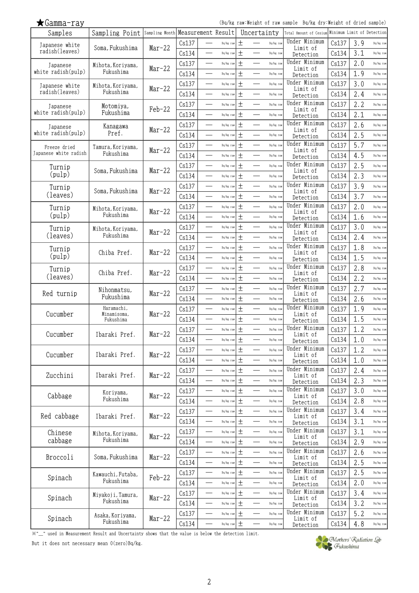| ∙amma<br>1 |  |
|------------|--|
|            |  |

(Bq/kg raw:Weight of raw sample Bq/kg dry:Weight of dried sample)

| ∧ ∪amma ⊥ay           |                                |          |       |                                       |            |                                       |                            |       |     |                            |
|-----------------------|--------------------------------|----------|-------|---------------------------------------|------------|---------------------------------------|----------------------------|-------|-----|----------------------------|
| Samples               | Sampling Point Sampling Month  |          |       | Measurement Result                    |            | Uncertainty                           | Total Amount of Cesium     |       |     | Minimum Limit of Detection |
| Tapanese white        | Soma, Fukushima                | Mar-22   | Cs137 | Bq/kg raw                             | $^{+}$     | $\overline{\phantom{0}}$<br>Bq/kg raw | Under Minimum<br>Limit of  | Cs137 | 3.9 | Bq/kg raw                  |
| radish(leaves)        |                                |          | Cs134 | $\overline{\phantom{0}}$<br>Bq/kg raw | $\pm$      | Bq/kg raw                             | Detection                  | Cs134 | 3.1 | Bq/kg raw                  |
| Japanese              | Mihota, Koriyama,              |          | Cs137 | Bq/kg raw                             | 土          | Bq/kg raw                             | Under Minimum              | Cs137 | 2.0 | Bq/kg raw                  |
| white radish(pulp)    | Fukushima                      | Mar-22   | Cs134 | —<br>Bq/kg raw                        | 土          | $\overline{\phantom{0}}$<br>Bq/kg raw | Limit of<br>Detection      | Cs134 | 1.9 | Bq/kg raw                  |
| Japanese white        | Mihota, Koriyama,              |          | Cs137 | Bq/kg raw                             | $\pm$      | Bq/kg raw                             | Under Minimum              | Cs137 | 3.0 | Bq/kg raw                  |
| radish(leaves)        | Fukushima                      | $Mar-22$ | Cs134 | Bq/kg raw                             | $\pm$      | Bq/kg raw                             | Limit of<br>Detection      | Cs134 | 2.4 | Bq/kg raw                  |
| Japanese              | Motomiya,                      |          | Cs137 | $\equiv$<br>Bq/kg raw                 | $\pm$      | $\equiv$<br>Bq/kg raw                 | Under Minimum              | Cs137 | 2.2 | Bq/kg raw                  |
| white radish(pulp)    | Fukushima                      | $Feb-22$ | Cs134 | Bq/kg raw                             | 土          | Bq/kg raw                             | Limit of<br>Detection      | Cs134 | 2.1 | Bq/kg raw                  |
| Japanese              | Kanagawa                       |          | Cs137 | $\overline{\phantom{0}}$<br>Bq/kg raw | $\pm$      | $\overline{\phantom{0}}$<br>Bq/kg raw | Under Minimum              | Cs137 | 2.6 | Bq/kg raw                  |
| white radish(pulp)    | Pref.                          | $Mar-22$ | Cs134 | Bq/kg raw                             | 土          | Bq/kg raw                             | Limit of<br>Detection      | Cs134 | 2.5 | Bq/kg raw                  |
| Freeze dried          | Tamura, Koriyama,              |          | Cs137 | Bq/kg raw                             | $\pm$      | $\qquad \qquad$<br>Bq/kg raw          | Under Minimum              | Cs137 | 5.7 | Bq/kg raw                  |
| Japanese white radish | Fukushima                      | Mar-22   | Cs134 | Bq/kg raw                             | $\pm$      | Bq/kg raw                             | Limit of<br>Detection      | Cs134 | 4.5 | Bq/kg raw                  |
| Turnip                |                                |          | Cs137 | Bq/kg raw                             | 土          | Bq/kg raw                             | Under Minimum              | Cs137 | 2.5 | Bq/kg raw                  |
| (pulp)                | Soma, Fukushima                | Mar-22   | Cs134 | —<br>Bq/kg raw                        | $\pm$      | Bq/kg raw                             | Limit of<br>Detection      | Cs134 | 2.3 | Bq/kg raw                  |
| Turnip                |                                |          | Cs137 | Bq/kg raw                             | $\pm$      | Bq/kg raw                             | Under Minimum              | Cs137 | 3.9 | Bq/kg raw                  |
| (leaves)              | Soma, Fukushima                | $Mar-22$ | Cs134 | $\overline{\phantom{0}}$<br>Bq/kg raw | $\pm$      | $\qquad \qquad$<br>Bq/kg raw          | Limit of<br>Detection      | Cs134 | 3.7 | Bq/kg raw                  |
| Turnip                | Mihota, Koriyama,              |          | Cs137 | Bq/kg raw                             | $\pm$      | Bq/kg raw                             | Under Minimum              | Cs137 | 2.0 | Bq/kg raw                  |
| (pulp)                | Fukushima                      | $Mar-22$ | Cs134 | Bq/kg raw                             | $\pm$      | Bq/kg raw                             | Limit of<br>Detection      | Cs134 | 1.6 | Bq/kg raw                  |
| Turnip                | Mihota, Koriyama,              |          | Cs137 | ÷,<br>Bq/kg raw                       | $\pm$      | $\equiv$<br>Bq/kg raw                 | Under Minimum              | Cs137 | 3.0 | Bq/kg raw                  |
| (leaves)              | Fukushima                      | $Mar-22$ | Cs134 | —<br>Bq/kg raw                        | $\pm$      | $\qquad \qquad$<br>Bq/kg raw          | Limit of<br>Detection      | Cs134 | 2.4 | Bq/kg raw                  |
| Turnip                |                                |          | Cs137 | $\overline{\phantom{0}}$<br>Bq/kg raw | $\pm$      | Bq/kg raw                             | Under Minimum              | Cs137 | 1.8 | Bq/kg raw                  |
| (pulp)                | Chiba Pref.                    | Mar-22   | Cs134 | Bq/kg raw                             | $\pm$      | Bq/kg raw                             | Limit of<br>Detection      | Cs134 | 1.5 | Bq/kg raw                  |
| Turnip                |                                |          | Cs137 | $\overline{\phantom{0}}$<br>Bq/kg raw | $\pm$      | $\qquad \qquad$<br>Bq/kg raw          | Under Minimum              | Cs137 | 2.8 | Bq/kg raw                  |
| (leaves)              | Chiba Pref.                    | $Mar-22$ | Cs134 | Bq/kg raw                             | $\pm$      | Bq/kg raw                             | Limit of<br>Detection      | Cs134 | 2.2 | Bq/kg raw                  |
|                       |                                |          | Cs137 | $\overline{\phantom{0}}$<br>Bq/kg raw | $\pm$      | Bq/kg raw                             | Under Minimum              | Cs137 | 2.7 | Bq/kg raw                  |
| Red turnip            | Nihonmatsu,<br>Fukushima       | $Mar-22$ | Cs134 | $\overline{\phantom{0}}$<br>Bq/kg raw | $\pm$      | Bq/kg raw                             | Limit of<br>Detection      | Cs134 | 2.6 | Bq/kg raw                  |
|                       | Haramachi,                     |          | Cs137 | Bq/kg raw                             | $\pm$      | Bq/kg raw                             | Under Minimum              | Cs137 | 1.9 | Bq/kg raw                  |
| Cucumber              | Minamisoma,<br>Fukushima       | Mar-22   | Cs134 | $\overline{\phantom{0}}$<br>Bq/kg raw | $\pm$      | $\overline{\phantom{0}}$<br>Bq/kg raw | Limit of                   | Cs134 | 1.5 | Bq/kg raw                  |
|                       |                                |          | Cs137 | Bq/kg raw                             | $\pm$      | Bq/kg raw                             | Detection<br>Under Minimum | Cs137 | 1.2 | Bq/kg raw                  |
| Cucumber              | Ibaraki Pref.                  | $Mar-22$ | Cs134 | Bq/kg raw                             | $\pm$      | Bq/kg raw                             | Limit of                   | Cs134 | 1.0 | Bq/kg raw                  |
|                       |                                |          | Cs137 | Bq/kg raw                             | $\pm$      | Bq/kg raw                             | Detection<br>Under Minimum | Cs137 | 1.2 | Bq/kg raw                  |
| Cucumber              | Ibaraki Pref.                  | $Mar-22$ |       |                                       |            |                                       | Limit of                   |       | 1.0 | Bq/kg raw                  |
|                       |                                |          | Cs134 | Bq/kg raw<br>$\overline{\phantom{0}}$ | 土<br>$\pm$ | Bq/kg raw<br>Bq/kg raw                | Detection<br>Under Minimum | Cs134 | 2.4 |                            |
| Zucchini              | Ibaraki Pref.                  | $Mar-22$ | Cs137 | Bq/kg raw                             | 土          |                                       | Limit of                   | Cs137 |     | Bq/kg raw                  |
|                       |                                |          | Cs134 | Bq/kg raw                             |            | Bq/kg raw                             | Detection<br>Under Minimum | Cs134 | 2.3 | Bq/kg raw                  |
| Cabbage               | Koriyama,<br>Fukushima         | Mar-22   | Cs137 | Bq/kg raw                             | $\pm$      | $\overline{\phantom{0}}$<br>Bq/kg raw | Limit of                   | Cs137 | 3.0 | Bq/kg raw                  |
|                       |                                |          | Cs134 | Bq/kg raw                             | $\pm$      | Bq/kg raw                             | Detection<br>Under Minimum | Cs134 | 2.8 | Bq/kg raw                  |
| Red cabbage           | Ibaraki Pref.                  | Mar-22   | Cs137 | —<br>——<br>Bq/kg raw                  | $\pm$      | $\overline{\phantom{0}}$<br>Bq/kg raw | Limit of                   | Cs137 | 3.4 | Bq/kg raw                  |
|                       |                                |          | Cs134 | Bq/kg raw                             | $\pm$      | Bq/kg raw                             | Detection<br>Under Minimum | Cs134 | 3.1 | Bq/kg raw                  |
| Chinese               | Mihota, Koriyama,<br>Fukushima | Mar-22   | Cs137 | Bq/kg raw                             | 土          | Bq/kg raw                             | Limit of                   | Cs137 | 3.1 | Bq/kg raw                  |
| cabbage               |                                |          | Cs134 | Bq/kg raw                             | $\pm$      | $\overline{\phantom{0}}$<br>Bq/kg raw | Detection                  | Cs134 | 2.9 | Bq/kg raw                  |
| Broccoli              | Soma, Fukushima                | $Mar-22$ | Cs137 | Bq/kg raw                             | $\pm$      | Bq/kg raw                             | Under Minimum<br>Limit of  | Cs137 | 2.6 | Bq/kg raw                  |
|                       |                                |          | Cs134 | Bq/kg raw                             | $\pm$      | $\overline{\phantom{0}}$<br>Bq/kg raw | Detection                  | Cs134 | 2.5 | Bq/kg raw                  |
| Spinach               | Kawauchi, Futaba,              | Feb-22   | Cs137 | Bq/kg raw                             | $\pm$      | Bq/kg raw                             | Under Minimum<br>Limit of  | Cs137 | 2.5 | Bq/kg raw                  |
|                       | Fukushima                      |          | Cs134 | Bq/kg raw                             | $\pm$      | Bq/kg raw                             | Detection                  | Cs134 | 2.0 | Bq/kg raw                  |
| Spinach               | Miyakoji, Tamura,              | Mar-22   | Cs137 | $\overline{\phantom{0}}$<br>Bq/kg raw | $\pm$      | Bq/kg raw                             | Under Minimum<br>Limit of  | Cs137 | 3.4 | Bq/kg raw                  |
|                       | Fukushima                      |          | Cs134 | Bq/kg raw                             | $\pm$      | Bq/kg raw                             | Detection                  | Cs134 | 3.2 | Bq/kg raw                  |
| Spinach               | Asaka, Koriyama,               | $Mar-22$ | Cs137 | $\overline{\phantom{a}}$<br>Bq/kg raw | $\pm$      | Bq/kg raw                             | Under Minimum<br>Limit of  | Cs137 | 5.2 | Bq/kg raw                  |
|                       | Fukushima                      |          | Cs134 | Bq/kg raw                             | 土          | Bq/kg raw                             | Detection                  | Cs134 | 4.8 | Bq/kg raw                  |

※"\_" used in Measurement Result and Uncertainty shows that the value is below the detection limit.

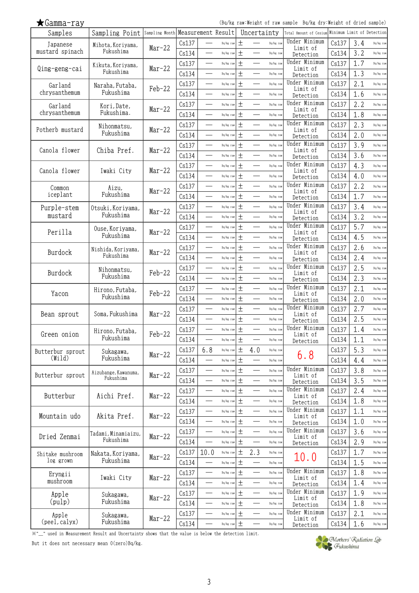(Bq/kg raw:Weight of raw sample Bq/kg dry:Weight of dried sample)

| Samples                       | Sampling Point Sampling Month Measurement Result |          |       |                          |           |       | Uncertainty              |           | Total Amount of Cesium Minimum Limit of Detection |       |     |           |
|-------------------------------|--------------------------------------------------|----------|-------|--------------------------|-----------|-------|--------------------------|-----------|---------------------------------------------------|-------|-----|-----------|
| Japanese                      | Mihota, Koriyama,                                | $Mar-22$ | Cs137 |                          | Bq/kg raw | $\pm$ |                          | Bq/kg raw | Under Minimum<br>Limit of                         | Cs137 | 3.4 | Bq/kg raw |
| mustard spinach               | Fukushima                                        |          | Cs134 |                          | Bq/kg raw | $\pm$ |                          | Bq/kg raw | Detection                                         | Cs134 | 3.2 | Bq/kg raw |
|                               | Kikuta, Koriyama,                                |          | Cs137 |                          | Bq/kg raw | $\pm$ |                          | Bq/kg raw | Under Minimum                                     | Cs137 | 1.7 | Bq/kg raw |
| Qing-geng-cai                 | Fukushima                                        | $Mar-22$ | Cs134 | $\overline{\phantom{a}}$ | Bq/kg raw | $\pm$ |                          | Bq/kg raw | Limit of<br>Detection                             | Cs134 | 1.3 | Bq/kg raw |
| Garland                       | Naraha, Futaba,                                  |          | Cs137 | —                        | Bq/kg raw | $\pm$ | $\overline{\phantom{0}}$ | Bq/kg raw | Under Minimum                                     | Cs137 | 2.1 | Bq/kg raw |
| chrysanthemum                 | Fukushima                                        | Feb-22   | Cs134 |                          | Bq/kg raw | $\pm$ | $\overline{\phantom{0}}$ | Bq/kg raw | Limit of<br>Detection                             | Cs134 | 1.6 | Bq/kg raw |
| Garland                       | Kori, Date,                                      |          | Cs137 | $\sim$                   | Bq/kg raw | $\pm$ |                          | Bq/kg raw | Under Minimum                                     | Cs137 | 2.2 | Bq/kg raw |
| chrysanthemum                 | Fukushima.                                       | $Mar-22$ | Cs134 |                          | Bq/kg raw | $\pm$ |                          | Bq/kg raw | Limit of<br>Detection                             | Cs134 | 1.8 | Bq/kg raw |
|                               | Nihonmatsu,                                      |          | Cs137 |                          | Bq/kg raw | $\pm$ |                          | Bq/kg raw | Under Minimum                                     | Cs137 | 2.3 | Bq/kg raw |
| Potherb mustard               | Fukushima                                        | $Mar-22$ | Cs134 |                          | Bq/kg raw | $\pm$ |                          | Bq/kg raw | Limit of<br>Detection                             | Cs134 | 2.0 | Bq/kg raw |
|                               |                                                  |          | Cs137 |                          | Bq/kg raw | $\pm$ |                          | Bq/kg raw | Under Minimum                                     | Cs137 | 3.9 | Bq/kg raw |
| Canola flower                 | Chiba Pref.                                      | $Mar-22$ | Cs134 | $\overline{\phantom{0}}$ | Bq/kg raw | $\pm$ | $\overline{\phantom{0}}$ | Bq/kg raw | Limit of                                          | Cs134 | 3.6 | Bq/kg raw |
|                               |                                                  |          | Cs137 |                          | Bq/kg raw | $\pm$ |                          | Bq/kg raw | Detection<br>Under Minimum                        | Cs137 | 4.3 | Bq/kg raw |
| Canola flower                 | Iwaki City                                       | $Mar-22$ | Cs134 | $\overline{\phantom{a}}$ | Bq/kg raw | $\pm$ | $\qquad \qquad$          | Bq/kg raw | Limit of                                          | Cs134 | 4.0 | Bq/kg raw |
|                               |                                                  |          | Cs137 |                          | Bq/kg raw | $\pm$ |                          | Bq/kg raw | Detection<br>Under Minimum                        | Cs137 | 2.2 | Bq/kg raw |
| Common<br>iceplant            | Aizu,<br>Fukushima                               | $Mar-22$ |       |                          |           | $\pm$ |                          |           | Limit of                                          |       |     |           |
|                               |                                                  |          | Cs134 | $\overline{\phantom{0}}$ | Bq/kg raw |       | $\overline{\phantom{0}}$ | Bq/kg raw | Detection<br>Under Minimum                        | Cs134 | 1.7 | Bq/kg raw |
| Purple-stem<br>mustard        | Otsuki, Koriyama,<br>Fukushima                   | $Mar-22$ | Cs137 |                          | Bq/kg raw | $\pm$ |                          | Bq/kg raw | Limit of                                          | Cs137 | 3.4 | Bq/kg raw |
|                               |                                                  |          | Cs134 |                          | Bq/kg raw | $\pm$ |                          | Bq/kg raw | Detection                                         | Cs134 | 3.2 | Bq/kg raw |
| Perilla                       | Ouse, Koriyama,                                  | $Mar-22$ | Cs137 | $\overline{\phantom{0}}$ | Bq/kg raw | $\pm$ | $\overline{\phantom{0}}$ | Bq/kg raw | Under Minimum<br>Limit of                         | Cs137 | 5.7 | Bq/kg raw |
|                               | Fukushima                                        |          | Cs134 |                          | Bq/kg raw | $\pm$ |                          | Bq/kg raw | Detection                                         | Cs134 | 4.5 | Bq/kg raw |
| Burdock                       | Nishida, Koriyama,                               | $Mar-22$ | Cs137 |                          | Bq/kg raw | $\pm$ |                          | Bq/kg raw | Under Minimum<br>Limit of                         | Cs137 | 2.6 | Bq/kg raw |
|                               | Fukushima                                        |          | Cs134 |                          | Bq/kg raw | $\pm$ |                          | Bq/kg raw | Detection                                         | Cs134 | 2.4 | Bq/kg raw |
| Burdock                       | Nihonmatsu,                                      | Feb-22   | Cs137 | $\overline{\phantom{a}}$ | Bq/kg raw | $\pm$ |                          | Bq/kg raw | Under Minimum<br>Limit of                         | Cs137 | 2.5 | Bq/kg raw |
|                               | Fukushima                                        |          | Cs134 | ÷,                       | Bq/kg raw | $\pm$ | $\overline{\phantom{0}}$ | Bq/kg raw | Detection                                         | Cs134 | 2.3 | Bq/kg raw |
| Yacon                         | Hirono, Futaba,                                  | Feb-22   | Cs137 | $\overline{\phantom{a}}$ | Bq/kg raw | $\pm$ | $\overline{\phantom{0}}$ | Bq/kg raw | Under Minimum<br>Limit of                         | Cs137 | 2.1 | Bq/kg raw |
|                               | Fukushima                                        |          | Cs134 | $\overline{\phantom{a}}$ | Bq/kg raw | $\pm$ |                          | Bq/kg raw | Detection                                         | Cs134 | 2.0 | Bq/kg raw |
|                               |                                                  |          | Cs137 |                          | Bq/kg raw | $\pm$ |                          | Bq/kg raw | Under Minimum                                     | Cs137 | 2.7 | Bq/kg raw |
| Bean sprout                   | Soma, Fukushima                                  | $Mar-22$ | Cs134 | —<br>——                  | Bq/kg raw | $\pm$ |                          | Bq/kg raw | Limit of<br>Detection                             | Cs134 | 2.5 | Bq/kg raw |
|                               | Hirono, Futaba,                                  |          | Cs137 | $\overline{\phantom{a}}$ | Bq/kg raw | $\pm$ |                          | Bq/kg raw | Under Minimum                                     | Cs137 | 1.4 | Bq/kg raw |
| Green onion                   | Fukushima                                        | $Feb-22$ | Cs134 |                          | Bq/kg raw | 土     |                          | Bq/kg raw | Limit of<br>Detection                             | Cs134 | 1.1 | Bq/kg raw |
| Butterbur sprout              | Sukagawa,                                        |          | Cs137 | 6.8                      | Bq/kg raw | $\pm$ | 4.0                      | Bq/kg raw |                                                   | Cs137 | 5.3 | Bq/kg raw |
| $(\texttt{Wild})$             | Fukushima                                        | $Mar-22$ | Cs134 |                          | Bq/kg raw | 土     |                          | Bq/kg raw | 6.8                                               | Cs134 | 4.4 | Bq/kg raw |
|                               | Aizubange, Kawanuma,                             |          | Cs137 |                          | Bq/kg raw | 土     |                          | Bq/kg raw | Under Minimum                                     | Cs137 | 3.8 | Bq/kg raw |
| Butterbur sprout              | Fukushima                                        | $Mar-22$ | Cs134 |                          | Bq/kg raw | $\pm$ |                          | Bq/kg raw | Limit of<br>Detection                             | Cs134 | 3.5 | Bq/kg raw |
|                               |                                                  |          | Cs137 | $\overline{\phantom{0}}$ | Bq/kg raw | $\pm$ |                          | Bq/kg raw | Under Minimum                                     | Cs137 | 2.4 | Bq/kg raw |
| Butterbur                     | Aichi Pref.                                      | $Mar-22$ | Cs134 | —                        | Bq/kg raw | $\pm$ | $\overline{\phantom{0}}$ | Bq/kg raw | Limit of<br>Detection                             | Cs134 | 1.8 | Bq/kg raw |
|                               |                                                  |          | Cs137 |                          | Bq/kg raw | 土     |                          | Bq/kg raw | Under Minimum                                     | Cs137 | 1.1 | Bq/kg raw |
| Mountain udo                  | Akita Pref.                                      | $Mar-22$ | Cs134 | $\sim$                   | Bq/kg raw | $\pm$ | $\overline{\phantom{0}}$ | Bq/kg raw | Limit of                                          | Cs134 | 1.0 | Bq/kg raw |
|                               |                                                  |          | Cs137 |                          | Bq/kg raw | $\pm$ |                          | Bq/kg raw | Detection<br>Under Minimum                        | Cs137 | 3.6 | Bq/kg raw |
| Dried Zenmai                  | Tadami. Minamiaizu.<br>Fukushima                 | $Mar-22$ | Cs134 |                          | Bq/kg raw | $\pm$ |                          | Bq/kg raw | Limit of                                          | Cs134 | 2.9 | Bq/kg raw |
|                               |                                                  |          |       |                          |           |       |                          |           | Detection                                         |       |     |           |
| Shitake mushroom<br>log grown | Nakata, Koriyama,<br>Fukushima                   | $Mar-22$ | Cs137 | 10.0                     | Bq/kg raw | $\pm$ | 2.3                      | Bq/kg raw | 10.0                                              | Cs137 | 1.7 | Bq/kg raw |
|                               |                                                  |          | Cs134 | $\overline{\phantom{0}}$ | Bq/kg raw | 土     | $\frac{1}{2}$            | Bq/kg raw | Under Minimum                                     | Cs134 | 1.5 | Bq/kg raw |
| Eryngii<br>mushroom           | Iwaki City                                       | Mar-22   | Cs137 | $\overline{\phantom{0}}$ | Bq/kg raw | $\pm$ | $\overline{\phantom{0}}$ | Bq/kg raw | Limit of                                          | Cs137 | 1.8 | Bq/kg raw |
|                               |                                                  |          | Cs134 |                          | Bq/kg raw | $\pm$ |                          | Bq/kg raw | Detection                                         | Cs134 | 1.4 | Bq/kg raw |
| Apple                         | Sukagawa,                                        | $Mar-22$ | Cs137 | $\overline{\phantom{0}}$ | Bq/kg raw | $\pm$ | $\overline{\phantom{0}}$ | Bq/kg raw | Under Minimum<br>Limit of                         | Cs137 | 1.9 | Bq/kg raw |
| (pulp)                        | Fukushima                                        |          | Cs134 |                          | Bq/kg raw | $\pm$ |                          | Bq/kg raw | Detection                                         | Cs134 | 1.8 | Bq/kg raw |
| Apple                         | Sukagawa,                                        | $Mar-22$ | Cs137 |                          | Bq/kg raw | $\pm$ |                          | Bq/kg raw | Under Minimum<br>Limit of                         | Cs137 | 2.1 | Bq/kg raw |
| (peel, calyx)                 | Fukushima                                        |          | Cs134 |                          | Bq/kg raw | $\pm$ |                          | Bq/kg raw | Detection                                         | Cs134 | 1.6 | Bq/kg raw |

※"\_" used in Measurement Result and Uncertainty shows that the value is below the detection limit.

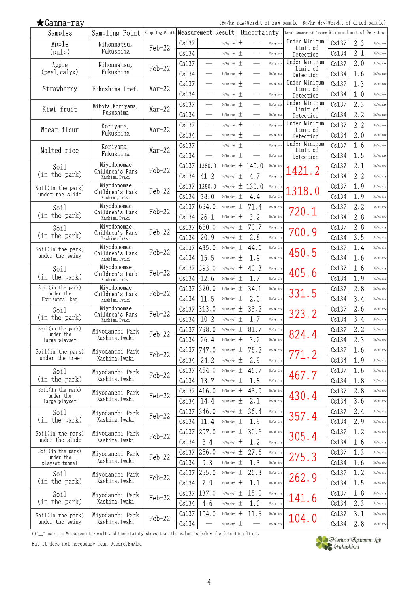(Bq/kg raw:Weight of raw sample Bq/kg dry:Weight of dried sample)

| Samples                              | Sampling Point Sampling Month Measurement Result |          |       |                          |           |        | Uncertainty              |           | Total Amount of Cesium Minimum Limit of Detection |       |     |           |
|--------------------------------------|--------------------------------------------------|----------|-------|--------------------------|-----------|--------|--------------------------|-----------|---------------------------------------------------|-------|-----|-----------|
| Apple                                | Nihonmatsu,                                      | $Feb-22$ | Cs137 |                          | Bq/kg raw | $^{+}$ |                          | Bq/kg raw | Under Minimum<br>Limit of                         | Cs137 | 2.3 | Bq/kg raw |
| (pulp)                               | Fukushima                                        |          | Cs134 |                          | Bq/kg raw | $\pm$  |                          | Bq/kg raw | Detection                                         | Cs134 | 2.1 | Bq/kg raw |
| Apple                                | Nihonmatsu,                                      |          | Cs137 |                          | Bq/kg raw | $\pm$  | $\sim$                   | Bq/kg raw | Under Minimum                                     | Cs137 | 2.0 | Bq/kg raw |
| (peel, calyx)                        | Fukushima                                        | $Feb-22$ | Cs134 | $\overline{\phantom{a}}$ | Bq/kg raw | 土      | $\overline{\phantom{0}}$ | Bq/kg raw | Limit of<br>Detection                             | Cs134 | 1.6 | Bq/kg raw |
|                                      |                                                  |          | Cs137 | $\overline{\phantom{0}}$ | Bq/kg raw | $\pm$  |                          | Bq/kg raw | Under Minimum                                     | Cs137 | 1.3 | Bq/kg raw |
| Strawberry                           | Fukushima Pref.                                  | $Mar-22$ | Cs134 | $\overline{\phantom{a}}$ | Bq/kg raw | 土      | $\overline{\phantom{a}}$ | Bq/kg raw | Limit of<br>Detection                             | Cs134 | 1.0 | Bq/kg raw |
|                                      |                                                  |          | Cs137 | $\overline{\phantom{0}}$ | Bq/kg raw | 土      | $\overline{\phantom{0}}$ | Bq/kg raw | Under Minimum                                     | Cs137 | 2.3 | Bq/kg raw |
| Kiwi fruit                           | Mihota, Koriyama,<br>Fukushima                   | Mar-22   | Cs134 |                          | Bq/kg raw | 土      |                          | Bq/kg raw | Limit of                                          | Cs134 | 2.2 | Bq/kg raw |
|                                      |                                                  |          |       |                          | Bq/kg raw | $\pm$  | $\overline{\phantom{0}}$ | Bq/kg raw | Detection<br>Under Minimum                        | Cs137 | 2.2 | Bq/kg raw |
| Wheat flour                          | Koriyama,<br>Fukushima                           | Mar-22   | Cs137 | $\overline{\phantom{0}}$ |           |        | $\overline{\phantom{0}}$ |           | Limit of                                          |       |     |           |
|                                      |                                                  |          | Cs134 |                          | Bq/kg raw | $\pm$  |                          | Bq/kg raw | Detection<br>Under Minimum                        | Cs134 | 2.0 | Bq/kg raw |
| Malted rice                          | Koriyama,                                        | Mar-22   | Cs137 |                          | Bq/kg raw | $^{+}$ |                          | Bq/kg raw | Limit of                                          | Cs137 | 1.6 | Bq/kg raw |
|                                      | Fukushima                                        |          | Cs134 | $\sim$                   | Bq/kg raw | $\pm$  |                          | Bq/kg raw | Detection                                         | Cs134 | 1.5 | Bq/kg raw |
| Soil                                 | Miyodonomae<br>Children's Park                   | $Feb-22$ | Cs137 | 1380.0                   | Bq/kg dry | 土      | 140.0                    | Bq/kg dry | .421.2                                            | Cs137 | 2.1 | Bq/kg dry |
| (in the park)                        | Kashima, Iwaki                                   |          | Cs134 | 41.2                     | Bq/kg dry | 土      | 4.7                      | Bq/kg dry |                                                   | Cs134 | 2.2 | Bq/kg dry |
| Soil(in the park)                    | Miyodonomae<br>Children's Park                   | Feb-22   | Cs137 | 1280.0                   | Bq/kg dry |        | ± 130.0                  | Bq/kg dry | 1318.0                                            | Cs137 | 1.9 | Bq/kg dry |
| under the slide                      | Kashima, Iwaki                                   |          | Cs134 | 38.0                     | Bq/kg dry | 土      | 4.4                      | Bq/kg dry |                                                   | Cs134 | 1.9 | Bq/kg dry |
| Soil                                 | Miyodonomae<br>Children's Park                   | Feb-22   | Cs137 | 694.0                    | Bq/kg dry | $\pm$  | 71.4                     | Bq/kg dry | 720.1                                             | Cs137 | 2.2 | Bq/kg dry |
| (in the park)                        | Kashima, Iwaki                                   |          | Cs134 | 26.1                     | Bq/kg dry | 土      | 3.2                      | Bq/kg dry |                                                   | Cs134 | 2.8 | Bq/kg dry |
| Soil                                 | Miyodonomae                                      |          | Cs137 | 680.0                    | Bq/kg dry | 土      | 70.7                     | Bq/kg dry |                                                   | Cs137 | 2.8 | Bq/kg dry |
| (in the park)                        | Children's Park<br>Kashima, Iwaki                | Feb-22   | Cs134 | 20.9                     | Bq/kg dry | 土      | 2.8                      | Bq/kg dry | 700.9                                             | Cs134 | 3.5 | Bq/kg dry |
| Soil(in the park)                    | Miyodonomae                                      |          | Cs137 | 435.0                    | Bq/kg dry | 土      | 44.6                     | Bq/kg dry |                                                   | Cs137 | 1.4 | Bq/kg dry |
| under the swing                      | Children's Park<br>Kashima, Iwaki                | $Feb-22$ | Cs134 | 15.5                     | Bq/kg dry | 土      | 1.9                      | Bq/kg dry | 450.5                                             | Cs134 | 1.6 | Bq/kg dry |
| Soil                                 | Miyodonomae                                      |          | Cs137 | 393.0                    | Bq/kg dry | $\pm$  | 40.3                     | Bq/kg dry |                                                   | Cs137 | 1.6 | Bq/kg dry |
| (in the park)                        | Children's Park<br>Kashima, Iwaki                | $Feb-22$ | Cs134 | 12.6                     | Bq/kg dry | $\pm$  | 1.7                      | Bq/kg dry | 405.6                                             | Cs134 | 1.9 | Bq/kg dry |
| Soil(in the park)                    | Miyodonomae                                      |          | Cs137 | 320.0                    | Bq/kg dry | 土      | 34.1                     | Bq/kg dry |                                                   | Cs137 | 2.8 | Bq/kg dry |
| under the<br>Horizontal bar          | Children's Park                                  | $Feb-22$ | Cs134 | 11.5                     | Bq/kg dry | 土      | 2.0                      | Bq/kg dry | 331.5                                             | Cs134 | 3.4 | Bq/kg dry |
|                                      | Kashima, Iwaki<br>Miyodonomae                    |          | Cs137 | 313.0                    | Bq/kg dry | 土      | 33.2                     | Bq/kg dry |                                                   | Cs137 | 2.6 | Bq/kg dry |
| Soil<br>(in the park)                | Children's Park                                  | Feb-22   |       |                          |           |        |                          | Bq/kg dry | 323.2                                             |       |     |           |
| Soil(in the park)                    | Kashima, Iwaki                                   |          | Cs134 | 10.2                     | Bq/kg dry | 土      | 1.7                      |           |                                                   | Cs134 | 3.4 | Bq/kg dry |
| under the                            | Miyodanchi Park<br>Kashima, Iwaki                | Feb-22   | Cs137 | 798.0                    | Bq/kg dry | 土      | 81.7                     | Bq/kg dry | 824.4                                             | Cs137 | 2.2 | Bq/kg dry |
| large playset                        |                                                  |          | Cs134 | 26.4                     | Bq/kg dry | 土      | 3.2                      | Bq/kg dry |                                                   | Cs134 | 2.3 | Bq/kg dry |
| Soil(in the park)                    | Miyodanchi Park                                  | Feb-22   | Cs137 | 747.0                    | Bq/kg dry | 土      | 76.2                     | Bq/kg dry | 771.2                                             | Cs137 | 1.6 | Bq/kg dry |
| under the tree                       | Kashima, Iwaki                                   |          | Cs134 | 24.2                     | Bq/kg dry | $\pm$  | 2.9                      | Bq/kg dry |                                                   | Cs134 | 1.9 | Bq/kg dry |
| Soil                                 | Miyodanchi Park                                  | Feb-22   | Cs137 | 454.0                    | Bq/kg dry | $\pm$  | 46.7                     | Bq/kg dry | 467.7                                             | Cs137 | 1.6 | Bq/kg dry |
| (in the park)                        | Kashima, Iwaki                                   |          | Cs134 | 13.7                     | Bq/kg dry | 土      | 1.8                      | Bq/kg dry |                                                   | Cs134 | 1.8 | Bq/kg dry |
| Soil(in the park)<br>under the       | Miyodanchi Park                                  | Feb-22   | Cs137 | 416.0                    | Bq/kg dry | $\pm$  | 43.9                     | Bq/kg dry | 430.4                                             | Cs137 | 2.8 | Bq/kg dry |
| large playset                        | Kashima, Iwaki                                   |          | Cs134 | 14.4                     | Bq/kg dry | $\pm$  | 2.1                      | Bq/kg dry |                                                   | Cs134 | 3.6 | Bq/kg dry |
| Soil                                 | Miyodanchi Park                                  | $Feb-22$ | Cs137 | 346.0                    | Bq/kg dry | 土      | 36.4                     | Bq/kg dry |                                                   | Cs137 | 2.4 | Bq/kg dry |
| (in the park)                        | Kashima, Iwaki                                   |          | Cs134 | 11.4                     | Bq/kg dry | 土      | 1.9                      | Bq/kg dry | 357.4                                             | Cs134 | 2.9 | Bq/kg dry |
| Soil(in the park)                    | Miyodanchi Park                                  |          | Cs137 | 297.0                    | Bq/kg dry | $\pm$  | 30.6                     | Bq/kg dry |                                                   | Cs137 | 1.2 | Bq/kg dry |
| under the slide                      | Kashima, Iwaki                                   | Feb-22   | Cs134 | 8.4                      | Bq/kg dry | $\pm$  | 1.2                      | Bq/kg dry | 305.4                                             | Cs134 | 1.6 | Bq/kg dry |
| Soil(in the park)                    | Miyodanchi Park                                  |          | Cs137 | 266.0                    | Bq/kg dry | 土      | 27.6                     | Bq/kg dry |                                                   | Cs137 | 1.3 | Bq/kg dry |
| under the<br>playset tunnel          | Kashima, Iwaki                                   | Feb-22   | Cs134 | 9.3                      | Bq/kg dry | 土      | 1.3                      | Bq/kg dry | 275.3                                             | Cs134 | 1.6 | Bq/kg dry |
| Soil                                 |                                                  |          | Cs137 | 255.0                    | Bq/kg dry | $\pm$  | 26.3                     | Bq/kg dry |                                                   | Cs137 | 1.2 | Bq/kg dry |
| (in the park)                        | Miyodanchi Park<br>Kashima, Iwaki                | $Feb-22$ | Cs134 | 7.9                      | Bq/kg dry | 土      | 1.1                      | Bq/kg dry | 262.9                                             | Cs134 | 1.5 | Bq/kg dry |
|                                      |                                                  |          | Cs137 | 137.0                    | Bq/kg dry | 土      | 15.0                     | Bq/kg dry |                                                   | Cs137 | 1.8 | Bq/kg dry |
| Soil<br>(in the park)                | Miyodanchi Park<br>Kashima, Iwaki                | Feb-22   | Cs134 | 4.6                      | Bq/kg dry | 土      | 1.0                      | Bq/kg dry | 141.6                                             | Cs134 | 2.3 | Bq/kg dry |
|                                      |                                                  |          |       |                          |           |        |                          |           |                                                   |       |     |           |
| Soil(in the park)<br>under the swing | Miyodanchi Park<br>Kashima, Iwaki                | Feb-22   | Cs137 | 104.0                    | Bq/kg dry | 土      | 11.5                     | Bq/kg dry | 104.0                                             | Cs137 | 3.1 | Bq/kg dry |
|                                      |                                                  |          | Cs134 |                          | Bq/kg dry | $\pm$  |                          | Bq/kg dry |                                                   | Cs134 | 2.8 | Bq/kg dry |

※"\_" used in Measurement Result and Uncertainty shows that the value is below the detection limit.

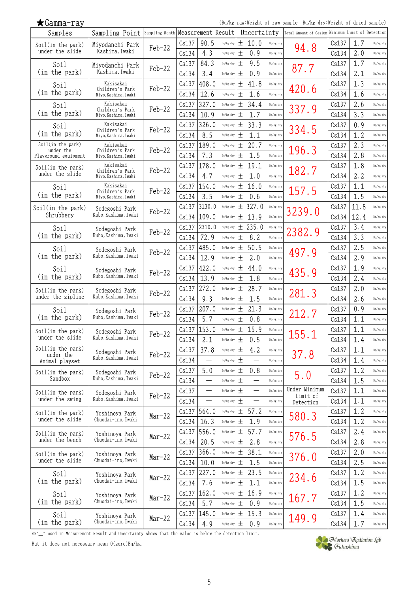| $\bigstar$ Gamma-ray           |                              |                |       |                          |           |       |                          |           | (Bq/kg raw:Weight of raw sample Bq/kg dry:Weight of dried sample) |       |      |           |
|--------------------------------|------------------------------|----------------|-------|--------------------------|-----------|-------|--------------------------|-----------|-------------------------------------------------------------------|-------|------|-----------|
| Samples                        | Sampling Point               | Sampling Month |       | Measurement Result       |           |       | Uncertainty              |           | Total Amount of Cesium Minimum Limit of Detection                 |       |      |           |
| Soil(in the park)              | Miyodanchi Park              | $Feb-22$       | Cs137 | 90.5                     | Bq/kg dry | 土     | 10.0                     | Bq/kg dry | 94.8                                                              | Cs137 | 1.7  | Bq/kg dry |
| under the slide                | Kashima <i>,</i> Iwaki       |                | Cs134 | 4.3                      | Bq/kg dry | 土     | 0.9                      | Bq/kg dry |                                                                   | Cs134 | 2.0  | Bq/kg dry |
| Soil                           | Miyodanchi Park              | $Feb-22$       | Cs137 | 84.3                     | Bq/kg dry | 土     | 9.5                      | Bq/kg dry | 87.7                                                              | Cs137 | 1.7  | Bq/kg dry |
| (in the park)                  | Kashima, Iwaki               |                | Cs134 | 3.4                      | Bq/kg dry | 土     | 0.9                      | Bq/kg dry |                                                                   | Cs134 | 2.1  | Bq/kg dry |
| Soil                           | Kakisakai<br>Children's Park | $Feb-22$       | Cs137 | 408.0                    | Bq/kg dry | 土     | 41.8                     | Bq/kg dry | 420.6                                                             | Cs137 | 1.3  | Bq/kg dry |
| (in the park)                  | Miyo, Kashima, Iwaki         |                | Cs134 | 12.6                     | Bq/kg dry | 土     | 1.6                      | Bq/kg dry |                                                                   | Cs134 | 1.6  | Bq/kg dry |
| Soil                           | Kakisakai<br>Children's Park | $Feb-22$       | Cs137 | 327.0                    | Bq/kg dry | 土     | 34.4                     | Bq/kg dry | 337.9                                                             | Cs137 | 2.6  | Bq/kg dry |
| (in the park)                  | Miyo, Kashima, Iwaki         |                | Cs134 | 10.9                     | Bq/kg dry | 土     | 1.7                      | Bq/kg dry |                                                                   | Cs134 | 3.3  | Bq/kg dry |
| Soil                           | Kakisakai<br>Children's Park | $Feb-22$       | Cs137 | 326.0                    | Bq/kg dry | 土     | 33.3                     | Bq/kg dry | 334.5                                                             | Cs137 | 0.9  | Bq/kg dry |
| (in the park)                  | Miyo, Kashima, Iwaki         |                | Cs134 | 8.5                      | Bq/kg dry | 土     | 1.1                      | Bq/kg dry |                                                                   | Cs134 | 1.2  | Bq/kg dry |
| Soil(in the park)<br>under the | Kakisakai<br>Children's Park | $Feb-22$       | Cs137 | 189.0                    | Bq/kg dry | 土     | 20.7                     | Bq/kg dry | 196.3                                                             | Cs137 | 2.3  | Bq/kg dry |
| Playground equipment           | Miyo, Kashima, Iwaki         |                | Cs134 | 7.3                      | Bq/kg dry | 土     | 1.5                      | Bq/kg dry |                                                                   | Cs134 | 2.8  | Bq/kg dry |
| Soil(in the park)              | Kakisakai<br>Children's Park | $Feb-22$       | Cs137 | 178.0                    | Bq/kg dry | 土     | 19.1                     | Bq/kg dry | 182.7                                                             | Cs137 | 1.8  | Bq/kg dry |
| under the slide                | Miyo, Kashima, Iwaki         |                | Cs134 | 4.7                      | Bq/kg dry | 土     | 1.0                      | Bq/kg dry |                                                                   | Cs134 | 2.2  | Bq/kg dry |
| Soil                           | Kakisakai<br>Children's Park | $Feb-22$       | Cs137 | 154.0                    | Bq/kg dry | 土     | 16.0                     | Bq/kg dry | 157.5                                                             | Cs137 | 1.1  | Bq/kg dry |
| (in the park)                  | Miyo, Kashima, Iwaki         |                | Cs134 | 3.5                      | Bq/kg dry | 土     | 0.6                      | Bq/kg dry |                                                                   | Cs134 | 1.5  | Bq/kg dry |
| Soil(in the park)              | Sodegoshi Park               | $Feb-22$       | Cs137 | 3130.0                   | Bq/kg dry |       | ± 327.0                  | Bq/kg dry | 3239.0                                                            | Cs137 | 11.8 | Bq/kg dry |
| Shrubbery                      | Kubo, Kashima, Iwaki         |                | Cs134 | 109.0                    | Bq/kg dry | 土     | 13.9                     | Bq/kg dry |                                                                   | Cs134 | 12.4 | Bq/kg dry |
| Soil                           | Sodegoshi Park               |                | Cs137 | 2310.0                   | Bq/kg dry | 土     | 235.0                    | Bq/kg dry |                                                                   | Cs137 | 3.4  | Bq/kg dry |
| (in the park)                  | Kubo, Kashima, Iwaki         | $Feb-22$       | Cs134 | 72.9                     | Bq/kg dry | 土     | 8.2                      | Bq/kg dry | 2382.9                                                            | Cs134 | 3.3  | Bq/kg dry |
| Soil                           | Sodegoshi Park               |                | Cs137 | 485.0                    | Bq/kg dry | 土     | 50.5                     | Bq/kg dry |                                                                   | Cs137 | 2.5  | Bq/kg dry |
| (in the park)                  | Kubo, Kashima, Iwaki         | Feb-22         | Cs134 | 12.9                     | Bq/kg dry | 土     | 2.0                      | Bq/kg dry | 497.9                                                             | Cs134 | 2.9  | Bq/kg dry |
| Soil                           | Sodegoshi Park               |                | Cs137 | 422.0                    | Bq/kg dry | 土     | 44.0                     | Bq/kg dry |                                                                   | Cs137 | 1.9  | Bq/kg dry |
| (in the park)                  | Kubo, Kashima, Iwaki         | $Feb-22$       | Cs134 | 13.9                     | Bq/kg dry | 土     | 1.8                      | Bq/kg dry | 435.9                                                             | Cs134 | 2.4  | Bq/kg dry |
| Soil(in the park)              | Sodegoshi Park               |                | Cs137 | 272.0                    | Bq/kg dry | 土     | 28.7                     | Bq/kg dry |                                                                   | Cs137 | 2.0  | Bq/kg dry |
| under the zipline              | Kubo, Kashima, Iwaki         | $Feb-22$       | Cs134 | 9.3                      | Bq/kg dry | 土     | 1.5                      | Bq/kg dry | 281.3                                                             | Cs134 | 2.6  | Bq/kg dry |
| Soil                           | Sodegoshi Park               | $Feb-22$       | Cs137 | 207.0                    | Bq/kg dry | 土     | 21.3                     | Bq/kg dry | 212.7                                                             | Cs137 | 0.9  | Bq/kg dry |
| (in the park)                  | Kubo, Kashima, Iwaki         |                | Cs134 | 5.7                      | Bq/kg dry | 土     | 0.8                      | Bq/kg dry |                                                                   | Cs134 | 1.1  | Bq/kg dry |
| Soil(in the park)              | Sodegoshi Park               | Feb-22         |       | Cs137 153.0              | Bq/kg dry | $+$   | 15.9                     | Bq/kg dry | 155.1                                                             | Cs137 | 1.1  | Bq/kg dry |
| under the slide                | Kubo, Kashima, Iwaki         |                | Cs134 | 2.1                      | Bq/kg dry | 土     | 0.5                      | Bq/kg dry |                                                                   | Cs134 | 1.4  | Bq/kg dry |
| Soil(in the park)<br>under the | Sodegoshi Park               | Feb-22         | Cs137 | 37.8                     | Bq/kg dry | $\pm$ | 4.2                      | Bq/kg dry | 37.8                                                              | Cs137 | 1.1  | Bq/kg dry |
| Animal playset                 | Kubo, Kashima, Iwaki         |                | Cs134 |                          | Bq/kg dry | 土     | —                        | Bq/kg dry |                                                                   | Cs134 | 1.4  | Bq/kg dry |
| Soil(in the park)              | Sodegoshi Park               | Feb-22         | Cs137 | 5.0                      | Bq/kg dry | 土     | 0.8                      | Bq/kg dry |                                                                   | Cs137 | 1.2  | Bq/kg dry |
| Sandbox                        | Kubo, Kashima, Iwaki         |                | Cs134 |                          | Bq/kg dry | 土     |                          | Bq/kg dry | 5.0                                                               | Cs134 | 1.5  | Bq/kg dry |
| Soil(in the park)              | Sodegoshi Park               |                | Cs137 |                          | Bq/kg dry | $\pm$ |                          | Bq/kg dry | Under Minimum                                                     | Cs137 | 1.1  | Bq/kg dry |
| under the swing                | Kubo, Kashima, Iwaki         | Feb-22         | Cs134 | $\overline{\phantom{0}}$ | Bq/kg dry | $\pm$ | $\overline{\phantom{0}}$ | Bq/kg dry | Limit of<br>Detection                                             | Cs134 | 1.1  | Bq/kg dry |
| Soil(in the park)              | Yoshinoya Park               |                |       | Cs137   564.0            | Bq/kg dry | 土     | 57.2                     | Bq/kg dry |                                                                   | Cs137 | 1.2  | Bq/kg dry |
| under the slide                | Chuodai-ino, Iwaki           | $Mar-22$       | Cs134 | 16.3                     | Bq/kg dry | $\pm$ | 1.9                      | Bq/kg dry | 580.3                                                             | Cs134 | 1.2  | Bq/kg dry |
| Soil(in the park)              | Yoshinoya Park               |                |       | $Cs137$ 556.0            | Bq/kg dry | 土     | 57.7                     | Bq/kg dry |                                                                   | Cs137 | 2.4  | Bq/kg dry |
| under the bench                | Chuodai-ino, Iwaki           | $Mar-22$       | Cs134 | 20.5                     | Bq/kg dry | 土     | 2.8                      | Bq/kg dry | 576.5                                                             | Cs134 | 2.8  | Bq/kg dry |
| Soil(in the park)              | Yoshinoya Park               |                | Cs137 | 366.0                    | Bq/kg dry | 土     | 38.1                     | Bq/kg dry |                                                                   | Cs137 | 2.0  | Bq/kg dry |
| under the slide                | Chuodai-ino, Iwaki           | $Mar-22$       | Cs134 | 10.0                     | Bq/kg dry | 土     | 1.5                      | Bq/kg dry | 376.0                                                             | Cs134 | 2.5  | Bq/kg dry |
| Soil                           | Yoshinoya Park               |                | Cs137 | 227.0                    | Bq/kg dry | 土     | 23.5                     | Bq/kg dry |                                                                   | Cs137 | 1.2  | Bq/kg dry |
| (in the park)                  | Chuodai-ino, Iwaki           | $Mar-22$       | Cs134 | 7.6                      | Bq/kg dry | 土     | 1.1                      | Bq/kg dry | 234.6                                                             | Cs134 | 1.5  | Bq/kg dry |
| Soil                           | Yoshinoya Park               |                | Cs137 | 162.0                    | Bq/kg dry | $\pm$ | 16.9                     | Bq/kg dry |                                                                   | Cs137 | 1.2  | Bq/kg dry |
| (in the park)                  | Chuodai-ino, Iwaki           | $Mar-22$       | Cs134 | 5.7                      | Bq/kg dry | 土     | 0.9                      | Bq/kg dry | 167.7                                                             | Cs134 | 1.5  | Bq/kg dry |
| Soil                           | Yoshinoya Park               |                | Cs137 | 145.0                    | Bq/kg dry | $\pm$ | 15.3                     | Bq/kg dry |                                                                   | Cs137 | 1.4  | Bq/kg dry |
| (in the park)                  | Chuodai-ino, Iwaki           | $Mar-22$       | Cs134 | 4.9                      | Bq/kg dry | $\pm$ | 0.9                      | Bq/kg dry | 149.9                                                             | Cs134 | 1.7  | Bq/kg dry |

※"\_" used in Measurement Result and Uncertainty shows that the value is below the detection limit.

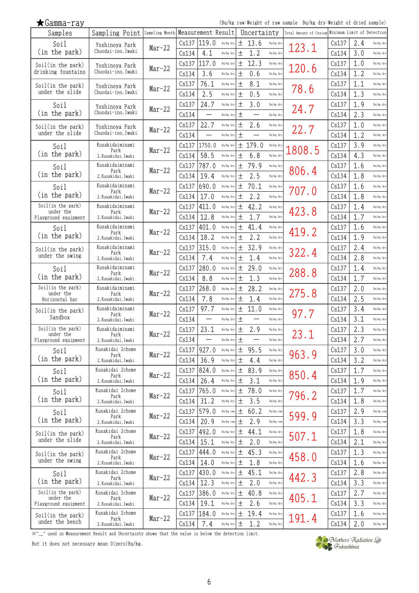| Samples                              | Sampling Point Sampling Month Measurement Result |          |       |                          |           |        | Uncertainty |           | Total Amount of Cesium Minimum Limit of Detection |       |     |           |
|--------------------------------------|--------------------------------------------------|----------|-------|--------------------------|-----------|--------|-------------|-----------|---------------------------------------------------|-------|-----|-----------|
| Soil                                 | Yoshinoya Park                                   | $Mar-22$ | Cs137 | 119.0                    | Bq/kg dry | 土      | 13.6        | Bq/kg dry | 123.1                                             | Cs137 | 2.4 | Bq/kg dry |
| (in the park)                        | Chuodai-ino, Iwaki                               |          | Cs134 | 4.1                      | Bq/kg dry | 土      | 1.2         | Bq/kg dry |                                                   | Cs134 | 3.0 | Bq/kg dry |
| Soil(in the park)                    | Yoshinoya Park                                   |          | Cs137 | 117.0                    | Bq/kg dry | 土      | 12.3        | Bq/kg dry |                                                   | Cs137 | 1.0 | Bq/kg dry |
| drinking fountains                   | Chuodai-ino, Iwaki                               | $Mar-22$ | Cs134 | 3.6                      | Bq/kg dry | 土      | 0.6         | Bq/kg dry | 120.6                                             | Cs134 | 1.2 | Bq/kg dry |
| Soil(in the park)                    | Yoshinoya Park                                   |          | Cs137 | 76.1                     | Bq/kg dry | $\pm$  | 8.1         | Bq/kg dry |                                                   | Cs137 | 1.1 | Bq/kg dry |
| under the slide                      | Chuodai-ino, Iwaki                               | $Mar-22$ | Cs134 | 2.5                      | Bq/kg dry | 土      | 0.5         | Bq/kg dry | 78.6                                              | Cs134 | 1.3 | Bq/kg dry |
| Soil                                 |                                                  |          | Cs137 | 24.7                     | Bq/kg dry | 土      | 3.0         | Bq/kg dry |                                                   | Cs137 | 1.9 | Bq/kg dry |
| (in the park)                        | Yoshinoya Park<br>Chuodai-ino, Iwaki             | $Mar-22$ | Cs134 |                          | Bq/kg dry | 土      |             | Bq/kg dry | 24.7                                              | Cs134 | 2.3 | Bq/kg dry |
|                                      |                                                  |          | Cs137 | 22.7                     | Bq/kg dry | 土      | 2.6         | Bq/kg dry |                                                   |       | 1.0 | Bq/kg dry |
| Soil(in the park)<br>under the slide | Yoshinova Park<br>Chuodai-ino. Iwaki             | $Mar-22$ | Cs134 | $\equiv$                 |           |        |             | Bq/kg dry | 22.7                                              | Cs137 | 1.2 | Bq/kg dry |
|                                      | Kusakidaiminami                                  |          |       |                          | Bq/kg dry | 土      |             |           |                                                   | Cs134 |     |           |
| Soil<br>(in the park)                | Park                                             | $Mar-22$ | Cs137 | 1750.0                   | Bq/kg dry |        | ± 179.0     | Bq/kg dry | 1808.5                                            | Cs137 | 3.9 | Bq/kg dry |
|                                      | 2, Kusakidai, Iwaki                              |          | Cs134 | 58.5                     | Bq/kg dry | 土      | 6.8         | Bq/kg dry |                                                   | Cs134 | 4.3 | Bq/kg dry |
| Soil                                 | Kusakidaiminami<br>Park                          | $Mar-22$ | Cs137 | 787.0                    | Bq/kg dry | 土      | 79.9        | Bq/kg dry | 806.4                                             | Cs137 | 1.6 | Bq/kg dry |
| (in the park)                        | 2, Kusakidai, Iwaki                              |          | Cs134 | 19.4                     | Bq/kg dry | 土      | 2.5         | Bq/kg dry |                                                   | Cs134 | 1.8 | Bq/kg dry |
| Soil                                 | Kusakidaiminami<br>Park                          | $Mar-22$ | Cs137 | 690.0                    | Bq/kg dry | 土      | 70.1        | Bq/kg dry | 707.0                                             | Cs137 | 1.6 | Bq/kg dry |
| (in the park)                        | 2, Kusakidai, Iwaki                              |          | Cs134 | 17.0                     | Bq/kg dry | 土      | 2.2         | Bq/kg dry |                                                   | Cs134 | 1.8 | Bq/kg dry |
| Soil(in the park)<br>under the       | Kusakidaiminami<br>Park                          | Mar-22   | Cs137 | 411.0                    | Bq/kg dry | 土      | 42.2        | Bq/kg dry | 423.8                                             | Cs137 | 1.4 | Bq/kg dry |
| Playground equipment                 | 2, Kusakidai, Iwaki                              |          | Cs134 | 12.8                     | Bq/kg dry | $^{+}$ | 1.7         | Bq/kg dry |                                                   | Cs134 | 1.7 | Bq/kg dry |
| Soil                                 | Kusakidaiminami<br>Park                          | $Mar-22$ | Cs137 | 401.0                    | Bq/kg dry | 土      | 41.4        | Bq/kg dry | 419.2                                             | Cs137 | 1.6 | Bq/kg dry |
| (in the park)                        | 2, Kusakidai, Iwaki                              |          | Cs134 | 18.2                     | Bq/kg dry | 土      | 2.2         | Bq/kg dry |                                                   | Cs134 | 1.9 | Bq/kg dry |
| Soil(in the park)                    | Kusakidaiminami                                  |          | Cs137 | 315.0                    | Bq/kg dry | 土      | 32.9        | Bq/kg dry |                                                   | Cs137 | 2.4 | Bq/kg dry |
| under the swing                      | Park<br>2, Kusakidai, Iwaki                      | $Mar-22$ | Cs134 | 7.4                      | Bq/kg dry | 土      | 1.4         | Bq/kg dry | 322.4                                             | Cs134 | 2.8 | Bq/kg dry |
| Soil                                 | Kusakidaiminami                                  |          | Cs137 | 280.0                    | Bq/kg dry | 土      | 29.0        | Bq/kg dry |                                                   | Cs137 | 1.4 | Bq/kg dry |
| (in the park)                        | Park<br>2, Kusakidai, Iwaki                      | $Mar-22$ | Cs134 | 8.8                      | Bq/kg dry | 土      | 1.3         | Bq/kg dry | 288.8                                             | Cs134 | 1.7 | Bq/kg dry |
| Soil(in the park)                    | Kusakidaiminami                                  |          | Cs137 | 268.0                    | Bq/kg dry | 土      | 28.2        | Bq/kg dry |                                                   | Cs137 | 2.0 | Bq/kg dry |
| under the<br>Horizontal bar          | Park<br>2, Kusakidai, Iwaki                      | Mar-22   | Cs134 | 7.8                      | Bq/kg dry | 土      | 1.4         | Bq/kg dry | 275.8                                             | Cs134 | 2.5 | Bq/kg dry |
| Soil(in the park)                    | Kusakidaiminami                                  |          | Cs137 | 97.7                     | Bq/kg dry | 土      | 11.0        | Bq/kg dry |                                                   | Cs137 | 3.4 | Bq/kg dry |
| Sandbox                              | Park<br>2, Kusakidai, Iwaki                      | $Mar-22$ | Cs134 | $\overline{\phantom{0}}$ | Bq/kg dry | 土      | —           | Bq/kg dry | 97.7                                              | Cs134 | 3.1 | Bq/kg dry |
| Soil(in the park)                    | Kusakidaiminami                                  |          | Cs137 | 23.1                     | Bq/kg dry | 土      | 2.9         | Bq/kg dry |                                                   | Cs137 | 2.3 | Bq/kg dry |
| under the<br>Playground equipment    | Park<br>2, Kusakidai, Iwaki                      | $Mar-22$ | Cs134 | -                        | Bq/kg dry | 土      |             | Bq/kg dry | 23.1                                              | Cs134 | 2.7 | Bq/kg dry |
| Soil                                 | Kusakidai 2chome                                 |          | Cs137 | 927.0                    | Bq/kg dry | 土      | 95.5        | Bq/kg dry |                                                   | Cs137 | 3.0 | Bq/kg dry |
| (in the park)                        | Park<br>2, Kusakidai, Iwaki                      | $Mar-22$ | Cs134 | 36.9                     | Bq/kg dry | 土      | 4.4         | Bq/kg dry | 963.9                                             | Cs134 | 3.2 | Bq/kg dry |
| Soil                                 | Kusakidai 2chome                                 |          | Cs137 | 824.0                    | Bq/kg dry | 土      | 83.9        | Bq/kg dry |                                                   | Cs137 | 1.7 | Bq/kg dry |
| (in the park)                        | Park<br>2, Kusakidai, Iwaki                      | $Mar-22$ | Cs134 | 26.4                     | Bq/kg dry | 土      | 3.1         | Bq/kg dry | 850.4                                             | Cs134 | 1.9 | Bq/kg dry |
| Soil                                 | Kusakidai 2chome                                 |          | Cs137 | 765.0                    | Bq/kg dry | 土      | 78.0        | Bq/kg dry |                                                   | Cs137 | 1.7 | Bq/kg dry |
| (in the park)                        | Park<br>2, Kusakidai, Iwaki                      | $Mar-22$ | Cs134 | 31.2                     | Bq/kg dry | 土      | 3.5         | Bq/kg dry | 796.2                                             | Cs134 | 1.8 | Bq/kg dry |
| Soil                                 | Kusakidai 2chome                                 |          | Cs137 | 579.0                    | Bq/kg raw | 土      | 60.2        | Bq/kg raw |                                                   | Cs137 | 2.9 | Bq/kg raw |
| (in the park)                        | Park<br>2, Kusakidai, Iwaki                      | $Mar-22$ | Cs134 | 20.9                     | Bq/kg raw | 土      | 2.9         | Bq/kg raw | 599.9                                             | Cs134 | 3.3 | Bq/kg raw |
|                                      | Kusakidai 2chome                                 |          | Cs137 | 492.0                    | Bq/kg dry | 土      | 44.1        | Bq/kg dry |                                                   | Cs137 | 1.8 | Bq/kg dry |
| Soil(in the park)<br>under the slide | Park<br>2, Kusakidai, Iwaki                      | $Mar-22$ | Cs134 | 15.1                     | Bq/kg dry | 土      | 2.0         | Bq/kg dry | 507.1                                             | Cs134 | 2.1 | Bq/kg dry |
|                                      | Kusakidai 2chome                                 |          | Cs137 | 444.0                    | Bq/kg dry | 土      | 45.3        | Bq/kg dry |                                                   | Cs137 | 1.3 | Bq/kg dry |
| Soil(in the park)<br>under the swing | Park<br>2, Kusakidai, Iwaki                      | $Mar-22$ | Cs134 | 14.0                     | Bq/kg dry | 土      | 1.8         | Bq/kg dry | 458.0                                             | Cs134 | 1.6 | Bq/kg dry |
|                                      | Kusakidai 2chome                                 |          | Cs137 | 430.0                    | Bq/kg dry | 土      | 45.1        | Bq/kg dry |                                                   | Cs137 | 2.8 | Bq/kg dry |
| Soil<br>(in the park)                | Park<br>2, Kusakidai, Iwaki                      | $Mar-22$ | Cs134 | 12.3                     | Bq/kg dry | 土      | 2.0         | Bq/kg dry | 442.3                                             | Cs134 | 3.3 | Bq/kg dry |
| Soil(in the park)                    | Kusakidai 2chome                                 |          | Cs137 | 386.0                    | Bq/kg dry | 土      | 40.8        | Bq/kg dry |                                                   | Cs137 | 2.7 | Bq/kg dry |
| under the                            | Park                                             | $Mar-22$ | Cs134 | 19.1                     | Bq/kg dry | 土      | 2.6         | Bq/kg dry | 405.1                                             | Cs134 | 3.3 | Bq/kg dry |
| Playground equipment                 | 2, Kusakidai, Iwaki<br>Kusakidai 2chome          |          |       |                          |           |        |             |           |                                                   |       |     |           |
| Soil(in the park)<br>under the bench | Park                                             | $Mar-22$ | Cs137 | 184.0                    | Bq/kg dry | 土      | 19.4        | Bq/kg dry | 191.4                                             | Cs137 | 1.6 | Bq/kg dry |
|                                      | 2, Kusakidai, Iwaki                              |          | Cs134 | 7.4                      | Bq/kg dry | 土      | 1.2         | Bq/kg dry |                                                   | Cs134 | 2.0 | Bq/kg dry |

※"\_" used in Measurement Result and Uncertainty shows that the value is below the detection limit.

But it does not necessary mean 0(zero)Bq/kg.

★Gamma-ray

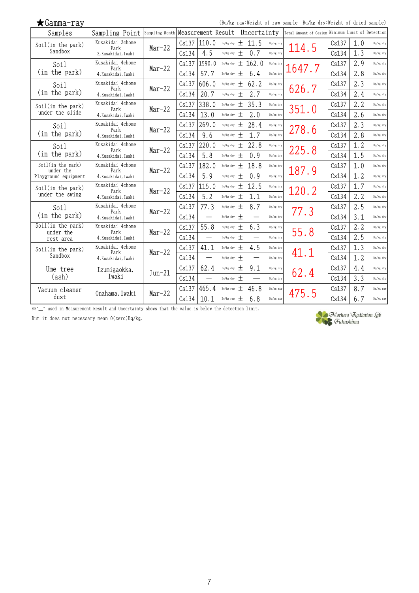| $\bigstar$ Gamma-ray              |                               |          |       |                    |           |        |             |           | (Bq/kg raw:Weight of raw sample Bq/kg dry:Weight of dried sample) |       |     |           |
|-----------------------------------|-------------------------------|----------|-------|--------------------|-----------|--------|-------------|-----------|-------------------------------------------------------------------|-------|-----|-----------|
| Samples                           | Sampling Point Sampling Month |          |       | Measurement Result |           |        | Uncertainty |           | Total Amount of Cesium Minimum Limit of Detection                 |       |     |           |
| Soil(in the park)                 | Kusakidai 2chome<br>Park      | $Mar-22$ | Cs137 | 110.0              | Bq/kg dry | 土      | 11.5        | Bq/kg dry | 114.5                                                             | Cs137 | 1.0 | Bq/kg dry |
| Sandbox                           | 2, Kusakidai, Iwaki           |          | Cs134 | 4.5                | Bq/kg dry | $^{+}$ | 0.7         | Bq/kg dry |                                                                   | Cs134 | 1.3 | Bq/kg dry |
| Soil                              | Kusakidai 4chome              |          | Cs137 | 1590.0             | Bq/kg dry | 土      | 162.0       | Bq/kg dry |                                                                   | Cs137 | 2.9 | Bq/kg dry |
| (in the park)                     | Park<br>4. Kusakidai, Iwaki   | $Mar-22$ | Cs134 | 57.7               | Bq/kg dry | 土      | 6.4         | Bq/kg dry | 1647.7                                                            | Cs134 | 2.8 | Bq/kg dry |
| Soil                              | Kusakidai 4chome              |          | Cs137 | 606.0              | Bq/kg dry | 土      | 62.2        | Bq/kg dry |                                                                   | Cs137 | 2.3 | Bq/kg dry |
| (in the park)                     | Park<br>4. Kusakidai, Iwaki   | $Mar-22$ | Cs134 | 20.7               | Bq/kg dry | 土      | 2.7         | Bq/kg dry | 626.7                                                             | Cs134 | 2.4 | Bq/kg dry |
| Soil(in the park)                 | Kusakidai 4chome              |          | Cs137 | 338.0              | Bq/kg dry | 土      | 35.3        | Bq/kg dry |                                                                   | Cs137 | 2.2 | Bq/kg dry |
| under the slide                   | Park<br>4. Kusakidai, Iwaki   | $Mar-22$ | Cs134 | 13.0               | Bq/kg dry | 土      | 2.0         | Bq/kg dry | 351.0                                                             | Cs134 | 2.6 | Bq/kg dry |
| Soil                              | Kusakidai 4chome              |          | Cs137 | 269.0              | Bq/kg dry | 土      | 28.4        | Bq/kg dry |                                                                   | Cs137 | 2.3 | Bq/kg dry |
| (in the park)                     | Park<br>4, Kusakidai, Iwaki   | $Mar-22$ | Cs134 | 9.6                | Bq/kg dry | 土      | 1.7         | Bq/kg dry | 278.6                                                             | Cs134 | 2.8 | Bq/kg dry |
| Soil                              | Kusakidai 4chome              |          | Cs137 | 220.0              | Bq/kg dry | 土      | 22.8        | Bq/kg dry |                                                                   | Cs137 | 1.2 | Bq/kg dry |
| (in the park)                     | Park<br>4. Kusakidai, Iwaki   | $Mar-22$ | Cs134 | 5.8                | Bq/kg dry | $^{+}$ | 0.9         | Ba/kg drv | 225.8                                                             | Cs134 | 1.5 | Bq/kg dry |
| Soil(in the park)                 | Kusakidai 4chome              |          | Cs137 | 182.0              | Bq/kg dry | 土      | 18.8        | Bq/kg dry |                                                                   | Cs137 | 1.0 | Bq/kg dry |
| under the<br>Playground equipment | Park<br>4. Kusakidai, Iwaki   | $Mar-22$ | Cs134 | 5.9                | Bq/kg dry | $^{+}$ | 0.9         | Bq/kg dry | 187.9                                                             | Cs134 | 1.2 | Bq/kg dry |
| Soil(in the park)                 | Kusakidai 4chome              |          | Cs137 | 115.0              | Bq/kg dry | 土      | 12.5        | Bq/kg dry |                                                                   | Cs137 | 1.7 | Bq/kg dry |
| under the swing                   | Park<br>4. Kusakidai, Iwaki   | $Mar-22$ | Cs134 | 5.2                | Bq/kg dry | 土      | 1.1         | Bq/kg dry | 120.2                                                             | Cs134 | 2.2 | Bq/kg dry |
| Soil                              | Kusakidai 4chome              |          | Cs137 | 77.3               | Bq/kg dry | $+$    | 8.7         | Bq/kg dry |                                                                   | Cs137 | 2.5 | Bq/kg dry |
| (in the park)                     | Park<br>4. Kusakidai, Iwaki   | $Mar-22$ | Cs134 |                    | Bq/kg dry | $^{+}$ |             | Bq/kg dry | 77.3                                                              | Cs134 | 3.1 | Bq/kg dry |
| Soil(in the park)                 | Kusakidai 4chome              |          | Cs137 | 55.8               | Bq/kg dry | 土      | 6.3         | Bq/kg dry |                                                                   | Cs137 | 2.2 | Bq/kg dry |
| under the<br>rest area            | Park<br>4. Kusakidai, Iwaki   | $Mar-22$ | Cs134 |                    | Bq/kg dry | $+$    |             | Bq/kg dry | 55.8                                                              | Cs134 | 2.5 | Bq/kg dry |
| Soil(in the park)                 | Kusakidai 4chome              |          | Cs137 | 41.1               | Bq/kg dry | 土      | 4.5         | Bq/kg dry |                                                                   | Cs137 | 1.3 | Bq/kg dry |
| Sandbox                           | Park<br>4. Kusakidai, Iwaki   | $Mar-22$ | Cs134 |                    | Bq/kg dry | $+$    |             | Bq/kg dry | 41.1                                                              | Cs134 | 1.2 | Bq/kg dry |
| Ume tree                          | Izumigaokka,                  |          | Cs137 | 62.4               | Bq/kg dry | 土      | 9.1         | Bq/kg dry |                                                                   | Cs137 | 4.4 | Bq/kg dry |
| (ash)                             | Iwaki                         | $Jun-21$ | Cs134 |                    | Bq/kg dry | $^{+}$ |             | Bq/kg dry | 62.4                                                              | Cs134 | 3.3 | Bq/kg dry |
| Vacuum cleaner                    |                               |          | Cs137 | 465.4              | Bq/kg raw | 土      | 46.8        | Bq/kg raw |                                                                   | Cs137 | 8.7 | Bq/kg raw |
| dust                              | Onahama, Iwaki                | $Mar-22$ | Cs134 | 10.1               | Bq/kg raw | $^{+}$ | 6.8         | Bq/kg raw | 475.5                                                             | Cs134 | 6.7 | Bq/kg raw |

※"\_" used in Measurement Result and Uncertainty shows that the value is below the detection limit.

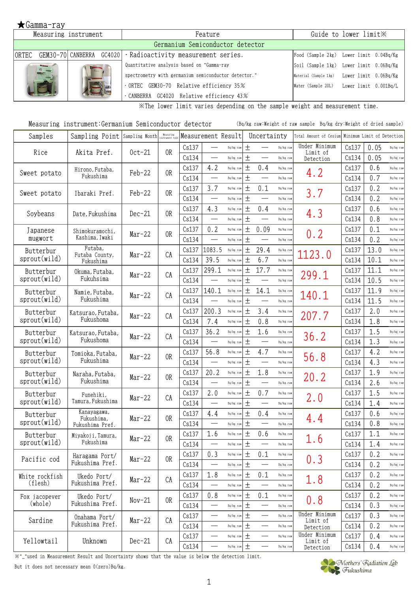|                                | Measuring instrument     | Feature                                              | Guide to lower limit X |                                             |  |  |  |
|--------------------------------|--------------------------|------------------------------------------------------|------------------------|---------------------------------------------|--|--|--|
|                                |                          |                                                      |                        |                                             |  |  |  |
| IORTEC                         | GEM30-70 CANBERRA GC4020 | $\cdot$ Radioactivity measurement series.            |                        | Food (Sample 2kg) Lower limit 0.04Bq/Kg     |  |  |  |
| <b>Silvers</b><br><b>D</b> 111 |                          | Quantitative analysis based on "Gamma-ray            |                        | Soil (Sample 1kg) Lower limit 0.06Bq/Kg     |  |  |  |
|                                |                          | spectrometry with germanium semiconductor detector." |                        | Material (Sample 1kg) Lower limit 0.06Bq/Kg |  |  |  |
|                                |                          | 0RTEC GEM30-70 Relative efficiency 35%               |                        | Water (Sample 20L) Lower limit 0.001Bq/L    |  |  |  |
|                                |                          | CANBERRA GC4020 Relative efficiency 43%              |                        |                                             |  |  |  |

※The lower limit varies depending on the sample weight and measurement time.

|  | Measuring instrument:Germanium Semiconductor detector |  |  |  | (Bq/kg raw:Weight of raw sample Bq/kg dry:Weight of dried sample) |
|--|-------------------------------------------------------|--|--|--|-------------------------------------------------------------------|
|--|-------------------------------------------------------|--|--|--|-------------------------------------------------------------------|

| Samples        | Sampling Point Sampling Month |          | Measuring<br>instrument tv: | Measurement Result |                          |                   |       | Uncertainty                      |           | Total Amount of Cesium    |       | Minimum Limit of Detection |             |
|----------------|-------------------------------|----------|-----------------------------|--------------------|--------------------------|-------------------|-------|----------------------------------|-----------|---------------------------|-------|----------------------------|-------------|
| Rice           | Akita Pref.                   | $0ct-21$ | 0R                          | Cs137              |                          | Bq/kg raw         | $\pm$ | $\qquad \qquad$                  | Bq/kg raw | Under Minimum<br>Limit of | Cs137 | 0.05                       | Bq/kg raw   |
|                |                               |          |                             | Cs134              |                          | Bq/kg raw         | $+$   |                                  | Bq/kg raw | Detection                 | Cs134 | 0.05                       | Bq/kg raw   |
| Sweet potato   | Hirono, Futaba,               | $Feb-22$ | 0R                          | Cs137              | 4.2                      | Bq/kg raw         | $\pm$ | 0.4                              | Bq/kg raw | 4.2                       | Cs137 | 0.6                        | Bq/kg raw   |
|                | Fukushima                     |          |                             | Cs134              |                          | Bq/kg raw         | $\pm$ | $\overbrace{\qquad \qquad }^{}$  | Bq/kg raw |                           | Cs134 | 0.7                        | Bq/kg raw   |
| Sweet potato   | Ibaraki Pref.                 | $Feb-22$ | 0R                          | Cs137              | 3.7                      | Bq/kg raw         | 土     | 0.1                              | Bq/kg raw | 3.7                       | Cs137 | 0.2                        | Bq/kg raw   |
|                |                               |          |                             | Cs134              |                          | Bq/kg raw         | $\pm$ |                                  | Bq/kg raw |                           | Cs134 | 0.2                        | Bq/kg raw   |
| Soybeans       | Date, Fukushima               | $Dec-21$ | 0R                          | Cs137              | 4.3                      | Bq/kg raw         | $\pm$ | 0.4                              | Bq/kg raw | 4.3                       | Cs137 | 0.6                        | Bq/kg raw   |
|                |                               |          |                             | Cs134              |                          | Bq/kg raw         | 土     |                                  | Bq/kg raw |                           | Cs134 | 0.8                        | Bq/kg raw   |
| Japanese       | Shimokuramochi,               | $Mar-22$ | 0R                          | Cs137              | 0.2                      | Bq/kg raw         | $\pm$ | 0.09                             | Bq/kg raw | 0.2                       | Cs137 | 0.1                        | Bq/kg raw   |
| mugwort        | Kashima, Iwaki                |          |                             | Cs134              |                          | Bq/kg raw         | $\pm$ | $\overline{\phantom{0}}$         | Bq/kg raw |                           | Cs134 | 0.2                        | Bq/kg raw   |
| Butterbur      | Futaba,<br>Futaba County,     | $Mar-22$ | CA                          | Cs137              | 1083.5                   | Bq/kg raw         | $\pm$ | 29.4                             | Bq/kg raw | 1123.0                    | Cs137 | 13.0                       | Bq/kg raw   |
| sprout(wild)   | Fukushima                     |          |                             | Cs134              | 39.5                     | Bq/kg raw         | $\pm$ | 6.7                              | Bq/kg raw |                           | Cs134 | 10.1                       | Bq/kg raw   |
| Butterbur      | Okuma, Futaba,                | $Mar-22$ | CA                          | Cs137              | 299.1                    | Bq/kg raw         | $\pm$ | 17.7                             | Bq/kg raw | 299.1                     | Cs137 | 11.1                       | Bq/kg raw   |
| sprout(wild)   | Fukuhsima                     |          |                             | Cs134              |                          | Bq/kg raw         | $\pm$ |                                  | Bq/kg raw |                           | Cs134 | 10.5                       | Bq/kg raw   |
| Butterbur      | Namie, Futaba,                | $Mar-22$ | CA                          | Cs137              | 140.1                    | Bq/kg raw         | $\pm$ | 14.1                             | Bq/kg raw | 140.1                     | Cs137 | 11.9                       | Bq/kg raw   |
| sprout(wild)   | Fukushima                     |          |                             | Cs134              | $\qquad \qquad$          | Bq/kg raw         | $\pm$ | $\overbrace{\qquad \qquad }^{}$  | Bq/kg raw |                           | Cs134 | 11.5                       | Bq/kg raw   |
| Butterbur      | Katsurao, Futaba,             | $Mar-22$ | CA                          | Cs137              | 200.3                    | Bq/kg raw         | 土     | 3.4                              | Bq/kg raw | 207.7                     | Cs137 | 2.0                        | Bq/kg raw   |
| sprout(wild)   | Fukushoma                     |          |                             | Cs134              | 7.4                      | Bq/kg raw         | 土     | 0.8                              | Bq/kg raw |                           | Cs134 | 1.8                        | Bq/kg raw   |
| Butterbur      | Katsurao, Futaba,             | $Mar-22$ | CA                          | Cs137              | 36.2                     | Bq/kg raw         | $\pm$ | 1.6                              | Bq/kg raw | 36.2                      | Cs137 | 1.5                        | Bq/kg raw   |
| sprout(wild)   | Fukushoma                     |          |                             | Cs134              | $\overline{\phantom{0}}$ | Bq/kg raw         | $\pm$ |                                  | Bq/kg raw |                           | Cs134 | 1.3                        | Bq/kg raw   |
| Butterbur      | Tomioka, Futaba,              | $Mar-22$ | 0 <sub>R</sub>              | Cs137              | 56.8                     | Bq/kg raw         | $\pm$ | 4.7                              | Bq/kg raw | 56.8                      | Cs137 | 4.2                        | Bq/kg raw   |
| sprout(wild)   | Fukushima                     |          |                             | Cs134              | $\overline{\phantom{0}}$ | Bq/kg raw         | $\pm$ |                                  | Bq/kg raw |                           | Cs134 | 4.3                        | Bq/kg raw   |
| Butterbur      | Naraha, Futaba,               | $Mar-22$ | 0R                          | Cs137              | 20.2                     | Bq/kg raw         | $\pm$ | 1.8                              | Bq/kg raw | 20.2                      | Cs137 | 1.9                        | Bq/kg raw   |
| sprout(wild)   | Fukushima                     |          |                             | Cs134              | $\overline{\phantom{a}}$ | Bq/kg raw         | $\pm$ |                                  | Bq/kg raw |                           | Cs134 | 2.6                        | Bq/kg raw   |
| Butterbur      | Funehiki,                     | $Mar-22$ | CA                          | Cs137              | 2.0                      | Bq/kg raw         | $\pm$ | 0.7                              | Bq/kg raw | 2.0                       | Cs137 | 1.5                        | Bq/kg raw   |
| sprout(wild)   | Tamura, Fukushima             |          |                             | Cs134              |                          | Bq/kg raw         | $\pm$ |                                  | Bq/kg raw |                           | Cs134 | 1.4                        | Bq/kg raw   |
| Butterbur      | Kanayagawa,<br>Fukushima,     | Mar-22   | 0R                          | Cs137              | 4.4                      | Bq/kg raw         | 土     | 0.4                              | Bq/kg raw | 4.4                       | Cs137 | 0.6                        | Bq/kg raw   |
| sprout(wild)   | Fukushima Pref.               |          |                             | Cs134              |                          | Bq/kg raw         | $\pm$ |                                  | Bq/kg raw |                           | Cs134 | 0.8                        | Bq/kg raw   |
| Butterbur      | Miyakoji, Tamura,             | $Mar-22$ | 0R                          | Cs137              | 1.6                      | Bq/kg raw         | $\pm$ | 0.6                              | Bq/kg raw | 1.6                       | Cs137 | 1.1                        | Bq/kg raw   |
| sprout(wild)   | Fukushima                     |          |                             | Cs134              |                          | $Bq/kg$ raw $\pm$ |       |                                  | Bq/kg raw |                           | Cs134 | 1.4                        | $Bq/kg$ raw |
| Pacific cod    | Haragama Port/                | $Mar-22$ | 0R                          | Cs137              | 0.3                      | Bq/kg raw         | 土     | 0.1                              | Bq/kg raw | 0.3                       | Cs137 | 0.2                        | Bq/kg raw   |
|                | Fukushima Pref.               |          |                             | Cs134              |                          | Bq/kg raw         | $\pm$ |                                  | Bq/kg raw |                           | Cs134 | 0.2                        | Bq/kg raw   |
| White rockfish | Ukedo Port/                   | $Mar-22$ | CA                          | Cs137              | 1.8                      | Bq/kg raw         | $\pm$ | 0.1                              | Bq/kg raw | 1.8                       | Cs137 | 0.2                        | Bq/kg raw   |
| (flesh)        | Fukushima Pref.               |          |                             | Cs134              |                          | Bq/kg raw         | 土     | $\overbrace{\qquad \qquad }^{ }$ | Bq/kg raw |                           | Cs134 | 0.2                        | Bq/kg raw   |
| Fox jacopever  | Ukedo Port/                   | $Nov-21$ | 0R                          | Cs137              | 0.8                      | Bq/kg raw         | $\pm$ | 0.1                              | Bq/kg raw | 0.8                       | Cs137 | 0.2                        | Bq/kg raw   |
| (whole)        | Fukushima Pref.               |          |                             | Cs134              | —                        | Bq/kg raw         | 土     | $\overline{\phantom{0}}$         | Bq/kg raw |                           | Cs134 | 0.3                        | Bq/kg raw   |
| Sardine        | Onahama Port/                 | $Mar-22$ | CA                          | Cs137              |                          | Bq/kg raw         | $\pm$ |                                  | Bq/kg raw | Under Minimum<br>Limit of | Cs137 | 0.3                        | Bq/kg raw   |
|                | Fukushima Pref.               |          |                             | Cs134              |                          | Bq/kg raw         | $\pm$ |                                  | Bq/kg raw | Detection                 | Cs134 | 0.2                        | Bq/kg raw   |
| Yellowtail     | Unknown                       | $Dec-21$ | CA                          | Cs137              | $\overline{\phantom{0}}$ | Bq/kg raw         | 土     |                                  | Bq/kg raw | Under Minimum<br>Limit of | Cs137 | 0.4                        | Bq/kg raw   |
|                |                               |          |                             | Cs134              | $\overline{\phantom{0}}$ | Bq/kg raw         | $\pm$ | $\overline{\phantom{0}}$         | Bq/kg raw | Detection                 | Cs134 | 0.4                        | Bq/kg raw   |

※"\_"used in Measurement Result and Uncertainty shows that the value is below the detection limit.

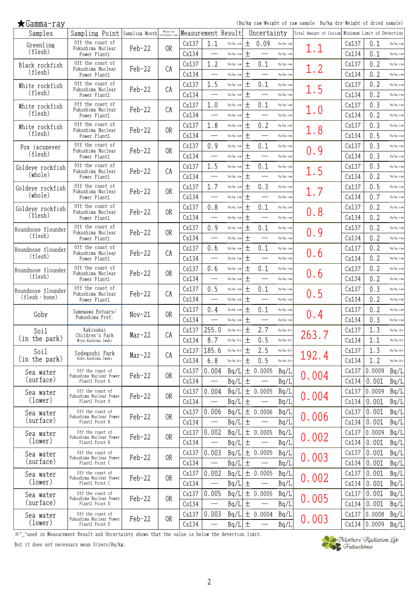(Bq/kg raw:Weight of raw sample Bq/kg dry:Weight of dried sample)

| Samples                   | Sampling Point Sampling Month Measuring               |          | Measuring      |                |                                  | Measurement Result     |        | Uncertainty                     |                        | Total Amount of Cesium Minimum Limit of Detection |                |                |                        |
|---------------------------|-------------------------------------------------------|----------|----------------|----------------|----------------------------------|------------------------|--------|---------------------------------|------------------------|---------------------------------------------------|----------------|----------------|------------------------|
| Greenling<br>(flesh)      | Off the coast of<br>Fukushima Nuclear<br>Power Plant1 | Feb-22   | 0R             | Cs137<br>Cs134 | 1.1                              | Bq/kg raw<br>Bq/kg raw | 土<br>土 | 0.09                            | Bq/kg raw<br>Bq/kg raw | $1.1\,$                                           | Cs137<br>Cs134 | 0.1<br>0.1     | Bq/kg raw<br>Bq/kg raw |
|                           | Off the coast of                                      |          |                | Cs137          | 1.2                              | Bq/kg raw              | 土      | 0.1                             | Bq/kg raw              |                                                   | Cs137          | 0.2            | Bq/kg raw              |
| Black rockfish<br>(flesh) | Fukushima Nuclear                                     | Feb-22   | CA             |                | $\overline{\phantom{0}}$         |                        | 土      | $\qquad \qquad$                 | Bq/kg raw              | 1.2                                               |                | 0.2            |                        |
|                           | Power Plant1<br>Off the coast of                      |          |                | Cs134          |                                  | Bq/kg raw              |        |                                 |                        |                                                   | Cs134          |                | Bq/kg raw              |
| White rockfish<br>(flesh) | Fukushima Nuclear                                     | Feb-22   | CA             | Cs137          | 1.5                              | Bq/kg raw              | 土      | 0.1                             | Bq/kg raw              | 1.5                                               | Cs137          | 0.2            | Bq/kg raw              |
|                           | Power Plant1<br>Off the coast of                      |          |                | Cs134          | $\overline{\phantom{0}}$         | Bq/kg raw              | 土      | $\overline{\phantom{0}}$        | Bq/kg raw              |                                                   | Cs134          | 0.2            | Bq/kg raw              |
| White rockfish<br>(flesh) | Fukushima Nuclear                                     | Feb-22   | CA             | Cs137          | 1.0                              | Bq/kg raw              | 土      | 0.1                             | Bq/kg raw              | 1.0                                               | Cs137          | 0.3            | Bq/kg raw              |
|                           | Power Plant1                                          |          |                | Cs134          | $\overline{\phantom{0}}$         | Bq/kg raw              | 土      |                                 | Bq/kg raw              |                                                   | Cs134          | 0.2            | Bq/kg raw              |
| White rockfish            | Off the coast of<br>Fukushima Nuclear                 | $Feb-22$ | 0 <sub>R</sub> | Cs137          | 1.8                              | Bq/kg raw              | 土      | 0.2                             | Bq/kg raw              | 1.8                                               | Cs137          | 0.3            | Bq/kg raw              |
| (flesh)                   | Power Plant1                                          |          |                | Cs134          |                                  | Bq/kg raw              | $+$    |                                 | Bq/kg raw              |                                                   | Cs134          | 0.5            | Bq/kg raw              |
| Fox jacopever             | Off the coast of<br>Fukushima Nuclear                 | $Feb-22$ | 0 <sub>R</sub> | Cs137          | 0.9                              | Bq/kg raw              | 士      | 0.1                             | Bq/kg raw              | 0.9                                               | Cs137          | 0.3            | Bq/kg raw              |
| (flesh)                   | Power Plant1                                          |          |                | Cs134          |                                  | Bq/kg raw              | $\pm$  |                                 | Bq/kg raw              |                                                   | Cs134          | 0.3            | Bq/kg raw              |
| Goldeye rockfish          | Off the coast of<br>Fukushima Nuclear                 | $Feb-22$ | CA             | Cs137          | 1.5                              | Bq/kg raw              | 土      | 0.1                             | Bq/kg raw              | 1.5                                               | Cs137          | 0.3            | Bq/kg raw              |
| (whole)                   | Power Plant1                                          |          |                | Cs134          | $\overbrace{\qquad \qquad }^{ }$ | Bq/kg raw              | 土      |                                 | Bq/kg raw              |                                                   | Cs134          | 0.2            | Bq/kg raw              |
| Goldeye rockfish          | Off the coast of<br>Fukushima Nuclear                 | $Feb-22$ | 0 <sub>R</sub> | Cs137          | 1.7                              | Bq/kg raw              | 土      | 0.3                             | Bq/kg raw              | 1.7                                               | Cs137          | 0.5            | Bq/kg raw              |
| (whole)                   | Power Plant1                                          |          |                | Cs134          |                                  | Bq/kg raw              | 土      | $\overbrace{\qquad \qquad }^{}$ | Bq/kg raw              |                                                   | Cs134          | 0.7            | Bq/kg raw              |
| Goldeye rockfish          | Off the coast of<br>Fukushima Nuclear                 | Feb-22   | 0R             | Cs137          | 0.8                              | Bq/kg raw              | 土      | 0.1                             | Bq/kg raw              |                                                   | Cs137          | 0.2            | Bq/kg raw              |
| (flesh)                   | Power Plant1                                          |          |                | Cs134          | $\overbrace{\qquad \qquad }^{}$  | Bq/kg raw              | 土      |                                 | Bq/kg raw              | $0.\,8$                                           | Cs134          | 0.2            | Bq/kg raw              |
| Roundnose flounder        | Off the coast of                                      |          |                | Cs137          | 0.9                              | Bq/kg raw              | 土      | 0.1                             | Bq/kg raw              |                                                   | Cs137          | 0.2            | Bq/kg raw              |
| (flesh)                   | Fukushima Nuclear<br>Power Plant1                     | Feb-22   | 0R             | Cs134          | $\overline{\phantom{0}}$         | Bq/kg raw              | 土      |                                 | Bq/kg raw              | 0.9                                               | Cs134          | 0.2            | Bq/kg raw              |
| Roundnose flounder        | Off the coast of                                      |          |                | Cs137          | 0.6                              | Bq/kg raw              | 土      | 0.1                             | Bq/kg raw              |                                                   | Cs137          | 0.2            | Bq/kg raw              |
| (flesh)                   | Fukushima Nuclear<br>Power Plant1                     | $Feb-22$ | CA             | Cs134          | $\equiv$                         | Bq/kg raw              | 土      |                                 | Bq/kg raw              | 0.6                                               | Cs134          | 0.2            | Bq/kg raw              |
| Roundnose flounder        | Off the coast of                                      |          |                | Cs137          | 0.6                              | Bq/kg raw              | 土      | 0.1                             | Bq/kg raw              |                                                   | Cs137          | 0.2            | Bq/kg raw              |
| (flesh)                   | Fukushima Nuclear<br>Power Plant1                     | $Feb-22$ | 0R             | Cs134          |                                  | Bq/kg raw              | $\pm$  |                                 | Bq/kg raw              | 0.6                                               | Cs134          | 0.2            | Bq/kg raw              |
| Roundnose flounder        | Off the coast of                                      |          |                | Cs137          | 0.5                              | Bq/kg raw              | 土      | 0.1                             | Bq/kg raw              |                                                   | Cs137          | 0.3            | Bq/kg raw              |
| $(flesh \cdot bone)$      | Fukushima Nuclear<br>Power Plant1                     | $Feb-22$ | CA             | Cs134          | $\overbrace{\qquad \qquad }^{}$  | Bq/kg raw              | 土      |                                 | Bq/kg raw              | 0.5                                               | Cs134          | 0.2            | Bq/kg raw              |
|                           | Samegawa Estuary/                                     |          |                | Cs137          | 0.4                              | Bq/kg raw              | 土      | 0.1                             | Bq/kg raw              |                                                   | Cs137          | 0.2            | Bq/kg raw              |
| Goby                      | Fukushima Pref.                                       | $Nov-21$ | 0 <sub>R</sub> | Cs134          | $\overline{\phantom{0}}$         | Bq/kg raw              | 土      |                                 | Bq/kg raw              | 0.4                                               | Cs134          | 0.3            | Bq/kg raw              |
| Soil                      | Kakisakai                                             |          |                | Cs137          | 255.0                            | Bq/kg dry              | 土      | 2.7                             | Bq/kg dry              |                                                   | Cs137          | 1.3            | Bq/kg dry              |
| (in the park)             | Children's Park<br>Miyo, Kashima, Iwaki               | $Mar-22$ | CA             | Cs134          | 8.7                              | Bq/kg dry              | 土      | 0.5                             | Bq/kg dry              | 263.7                                             | Cs134          | 1.1            | Bq/kg dry              |
| Soil                      |                                                       |          |                | Cs137          | 185.6                            | Bq/kg dry              | 土      | 2.5                             | Bq/kg dry              |                                                   | Cs137          | 1.3            | Bq/kg dry              |
| (in the park)             | Sodegoshi Park<br>Kubo, Kashima, Iwaki                | $Mar-22$ | CA             | Cs134          | 6.8                              | Bq/kg dry              | 土      | 0.5                             | Bq/kg dry              | 192.4                                             | Cs134          | 1.2            | Bq/kg dry              |
|                           | Off the coast of                                      |          |                | Cs137          | 0.004                            |                        |        | $Bq/L$ $\pm$ 0.0005             | Bq/L                   |                                                   | Cs137          | 0.0009         | Bq/L                   |
| Sea water<br>(surface)    | Fukushima Nuclear Power<br>Plant1 Point A             | Feb-22   | 0R             | Cs134          |                                  | $Bq/L$ $\pm$           |        |                                 | Bq/L                   | 0.004                                             | Cs134          | 0.001          | Bq/L                   |
|                           | Off the coast of                                      |          |                |                | 0.004                            |                        |        | ± 0.0005                        |                        |                                                   |                | 0.0009         | Bq/L                   |
| Sea water<br>(lower)      | Fukushima Nuclear Power<br>Plant1 Point A             | Feb-22   | 0R             | Cs137          |                                  | Bq/L                   |        |                                 | Bq/L                   | 0.004                                             | Cs137          |                |                        |
|                           | Off the coast of                                      |          |                | Cs134          | $\overbrace{\phantom{13333}}$    | $Bq/L$ $\pm$           |        |                                 | Bq/L                   |                                                   | Cs134          | 0.001          | Bq/L                   |
| Sea water<br>(surface)    | Fukushima Nuclear Power                               | Feb-22   | 0R             | Cs137          | 0.006                            |                        |        | $Bq/L   \pm 0.0006$             | Bq/L                   | 0.006                                             | Cs137          | 0.001          | Bq/L                   |
|                           | Plant1 Point B                                        |          |                | Cs134          |                                  | $Bq/L$ $\pm$           |        |                                 | Bq/L                   |                                                   | Cs134          | 0.001          | Bq/L                   |
| Sea water<br>(lower)      | Off the coast of<br>Fukushima Nuclear Power           | Feb-22   | 0R             | Cs137          | 0.002                            | Bq/L                   |        | ± 0.0005                        | Bq/L                   | 0.002                                             | Cs137          | 0.0009         | Bq/L                   |
|                           | Plant1 Point B                                        |          |                | Cs134          | $\overline{\phantom{0}}$         | $Bq/L$ $\pm$           |        |                                 | Bq/L                   |                                                   | Cs134          | 0.001          | Bq/L                   |
| Sea water                 | Off the coast of<br>Fukushima Nuclear Power           | Feb-22   | 0R             | Cs137          | 0.003                            |                        |        | $Bq/L   \pm 0.0005$             | Bq/L                   | 0.003                                             | Cs137          | 0.001          | Bq/L                   |
| (surface)                 | Plant1 Point C                                        |          |                | Cs134          |                                  | $Bq/L$ $\pm$           |        |                                 | Bq/L                   |                                                   | Cs134          | 0.001          | Bq/L                   |
| Sea water                 | Off the coast of<br>Fukushima Nuclear Power           | Feb-22   | 0R             | Cs137          | 0.002                            |                        |        | $Bq/L$ $\pm$ 0.0005             | Bq/L                   | 0.002                                             | Cs137          | 0.001          | Bq/L                   |
| (lower)                   | Plant1 Point C                                        |          |                | Cs134          | $\overline{\phantom{0}}$         | $Bq/L$ $\pm$           |        | $\overline{\phantom{0}}$        | Bq/L                   |                                                   | Cs134          | 0.001          | Bq/L                   |
| Sea water                 | Off the coast of<br>Fukushima Nuclear Power           | Feb-22   | 0R             | Cs137          | 0.005                            |                        |        | $Bq/L$ $\pm$ 0.0005             | Bq/L                   | 0.005                                             | Cs137          | 0.001          | Bq/L                   |
| (surface)                 | Plant1 Point D                                        |          |                | Cs134          | $\overline{\phantom{0}}$         | $Bq/L$ $\pm$           |        | $\overline{\phantom{0}}$        | Bq/L                   |                                                   | Cs134          | 0.001          | Bq/L                   |
| Sea water                 | Off the coast of<br>Fukushima Nuclear Power           | Feb-22   | 0R             | Cs137          | 0.003                            |                        |        | $Bq/L   \pm 0.0004$             | Bq/L                   | 0.003                                             | Cs137          | 0.0008         | Bq/L                   |
| (lower)                   | Plant1 Point D                                        |          |                | Cs134          | $\overline{\phantom{0}}$         | $Bq/L$ $\pm$           |        |                                 | Bq/L                   |                                                   |                | Cs134   0.0009 | Bq/L                   |

 $\mathbb{X}$  "\_"used in Measurement Result and Uncertainty shows that the value is below the detection limit.

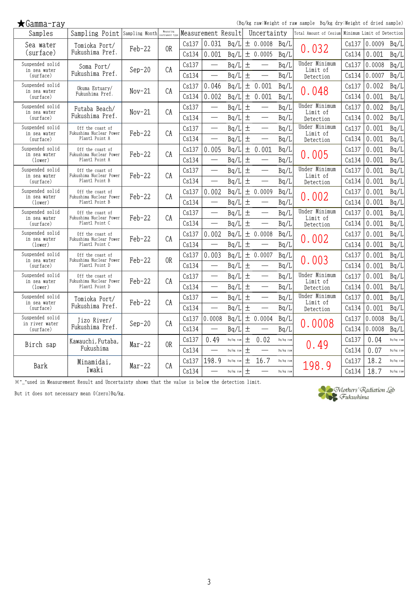(Bq/kg raw:Weight of raw sample Bq/kg dry:Weight of dried sample)

| Samples                         | Sampling Point Sampling Month Measuring     |          | Measuring      |       | Measurement Result               |           |       | Uncertainty                      |           | Total Amount of Cesium    |       | Minimum Limit of Detection |           |
|---------------------------------|---------------------------------------------|----------|----------------|-------|----------------------------------|-----------|-------|----------------------------------|-----------|---------------------------|-------|----------------------------|-----------|
| Sea water                       | Tomioka Port/                               | Feb-22   | 0 <sub>R</sub> | Cs137 | 0.031                            | Bq/L      |       | ± 0.0008                         | Bq/L      | 0.032                     | Cs137 | 0.0009                     | Bq/L      |
| (surface)                       | Fukushima Pref.                             |          |                | Cs134 | 0.001                            | Bq/L      |       | ± 0.0005                         | Bq/L      |                           | Cs134 | 0.001                      | Bq/L      |
| Suspended solid<br>in sea water | Soma Port/                                  | $Sep-20$ | CA             | Cs137 | $\overbrace{\qquad \qquad }^{ }$ | Bq/L      | $\pm$ |                                  | Bq/L      | Under Minimum<br>Limit of | Cs137 | 0.0008                     | Bq/L      |
| (surface)                       | Fukushima Pref.                             |          |                | Cs134 |                                  | Bq/L      | $\pm$ |                                  | Bq/L      | Detection                 | Cs134 | 0.0007                     | Bq/L      |
| Suspended solid<br>in sea water | Okuma Estuary/                              | $Nov-21$ | CA             | Cs137 | 0.046                            | Bq/L      | $\pm$ | 0.001                            | Bq/L      | 0.048                     | Cs137 | 0.002                      | Bq/L      |
| (surface)                       | Fukushima Pref.                             |          |                | Cs134 | 0.002                            | Bq/L      | $\pm$ | 0.001                            | Bq/L      |                           | Cs134 | 0.001                      | Bq/L      |
| Suspended solid<br>in sea water | Futaba Beach/                               | $Nov-21$ | CA             | Cs137 |                                  | Bq/L      | $\pm$ | $\overline{\phantom{0}}$         | Bq/L      | Under Minimum<br>Limit of | Cs137 | 0.002                      | Bq/L      |
| (surface)                       | Fukushima Pref.                             |          |                | Cs134 |                                  | Bq/L      | 土     |                                  | Bq/L      | Detection                 | Cs134 | 0.002                      | Bq/L      |
| Suspended solid<br>in sea water | Off the coast of<br>Fukushima Nuclear Power | $Feb-22$ | CA             | Cs137 |                                  | Bq/L      | $\pm$ |                                  | Bq/L      | Under Minimum<br>Limit of | Cs137 | 0.001                      | Bq/L      |
| (surface)                       | Plant1 Point A                              |          |                | Cs134 |                                  | Bq/L      | $\pm$ |                                  | Bq/L      | Detection                 | Cs134 | 0.001                      | Bq/L      |
| Suspended solid<br>in sea water | Off the coast of<br>Fukushima Nuclear Power | Feb-22   | CA             | Cs137 | 0.005                            | Bq/L      | $\pm$ | 0.001                            | Bq/L      | $0.\,\allowbreak 005$     | Cs137 | 0.001                      | Bq/L      |
| (lower)                         | Plant1 Point A                              |          |                | Cs134 |                                  | Bq/L      | $\pm$ | $\overline{\phantom{0}}$         | Bq/L      |                           | Cs134 | 0.001                      | Bq/L      |
| Suspended solid<br>in sea water | Off the coast of<br>Fukushima Nuclear Power | Feb-22   | CA             | Cs137 |                                  | Bq/L      | $\pm$ |                                  | Bq/L      | Under Minimum<br>Limit of | Cs137 | 0.001                      | Bq/L      |
| (surface)                       | Plant1 Point B                              |          |                | Cs134 |                                  | Bq/L      | $\pm$ | $\overbrace{\qquad \qquad }^{ }$ | Bq/L      | Detection                 | Cs134 | 0.001                      | Bq/L      |
| Suspended solid<br>in sea water | Off the coast of<br>Fukushima Nuclear Power | Feb-22   | CA             | Cs137 | 0.002                            | Bq/L      | $\pm$ | 0.0009                           | Bq/L      | 0.002                     | Cs137 | 0.001                      | Bq/L      |
| (lower)                         | Plant1 Point B                              |          |                | Cs134 | $\overline{\phantom{0}}$         | Bq/L      | 土     |                                  | Bq/L      |                           | Cs134 | 0.001                      | Bq/L      |
| Suspended solid<br>in sea water | Off the coast of<br>Fukushima Nuclear Power | Feb-22   | CA             | Cs137 |                                  | Bq/L      | $\pm$ |                                  | Bq/L      | Under Minimum<br>Limit of | Cs137 | 0.001                      | Bq/L      |
| (surface)                       | Plant1 Point C                              |          |                | Cs134 |                                  | Bq/L      | $\pm$ |                                  | Bq/L      | Detection                 | Cs134 | 0.001                      | Bq/L      |
| Suspended solid<br>in sea water | Off the coast of<br>Fukushima Nuclear Power | $Feb-22$ | CA             | Cs137 | 0.002                            | Bq/L      |       | ± 0.0008                         | Bq/L      | 0.002                     | Cs137 | 0.001                      | Bq/L      |
| (lower)                         | Plant1 Point C                              |          |                | Cs134 |                                  | Bq/L      | $\pm$ |                                  | Bq/L      |                           | Cs134 | 0.001                      | Bq/L      |
| Suspended solid<br>in sea water | Off the coast of<br>Fukushima Nuclear Power | Feb-22   | 0 <sub>R</sub> | Cs137 | 0.003                            | Bq/L      |       | ± 0.0007                         | Bq/L      |                           | Cs137 | 0.001                      | Bq/L      |
| (surface)                       | Plant1 Point D                              |          |                | Cs134 |                                  | Bq/L      | $\pm$ | $\overline{\phantom{0}}$         | Bq/L      | 0.003                     | Cs134 | 0.001                      | Bq/L      |
| Suspended solid<br>in sea water | Off the coast of<br>Fukushima Nuclear Power | $Feb-22$ | CA             | Cs137 |                                  | Bq/L      | 土     |                                  | Bq/L      | Under Minimum<br>Limit of | Cs137 | 0.001                      | Bq/L      |
| (lower)                         | Plant1 Point D                              |          |                | Cs134 | $\overbrace{\qquad \qquad }^{}$  | Bq/L      | $\pm$ | $\overbrace{\qquad \qquad }^{}$  | Bq/L      | Detection                 | Cs134 | 0.001                      | Bq/L      |
| Suspended solid                 | Tomioka Port/                               | Feb-22   | CA             | Cs137 | $\overline{\phantom{0}}$         | Bq/L      | $\pm$ | $\overline{\phantom{0}}$         | Bq/L      | Under Minimum             | Cs137 | 0.001                      | Bq/L      |
| in sea water<br>(surface)       | Fukushima Pref.                             |          |                | Cs134 | $\overline{\phantom{0}}$         | Bq/L      | 土     |                                  | Bq/L      | Limit of<br>Detection     | Cs134 | 0.001                      | Bq/L      |
| Suspended solid                 | Jizo River/                                 |          | CA             | Cs137 | 0.0008                           | Bq/L      | $\pm$ | 0.0004                           | Bq/L      |                           | Cs137 | 0.0008                     | Bq/L      |
| in river water<br>(surface)     | Fukushima Pref.                             | $Sep-20$ |                | Cs134 |                                  | Bq/L      | $\pm$ |                                  | Bq/L      | 0.0008                    | Cs134 | 0.0008                     | Bq/L      |
|                                 | Kawauchi, Futaba,                           |          | 0R             | Cs137 | 0.49                             | Bq/kg raw | $\pm$ | 0.02                             | Bq/kg raw |                           | Cs137 | 0.04                       | Bq/kg raw |
| Birch sap                       | Fukushima                                   | $Mar-22$ |                | Cs134 |                                  | Bq/kg raw | $\pm$ |                                  | Bq/kg raw | 0.49                      | Cs134 | 0.07                       | Bq/kg raw |
|                                 | Minamidai,                                  |          |                | Cs137 | 198.9                            | Bq/kg raw | $\pm$ | 16.7                             | Bq/kg raw |                           | Cs137 | 18.2                       | Bq/kg raw |
| Bark                            | Iwaki                                       | $Mar-22$ | CA             | Cs134 |                                  | Bq/kg raw | $\pm$ |                                  | Bq/kg raw | 198.9                     | Cs134 | 18.7                       | Bq/kg raw |

※"\_"used in Measurement Result and Uncertainty shows that the value is below the detection limit.

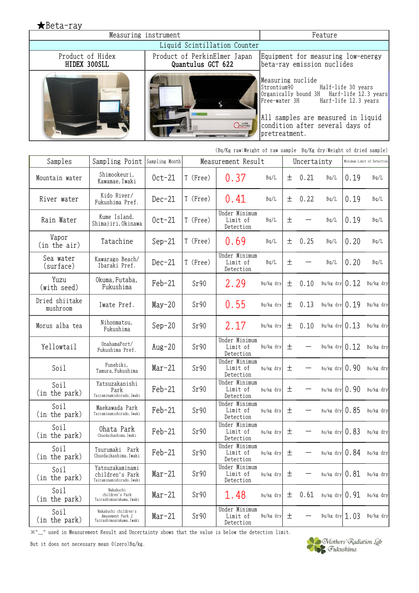★Beta-ray Measuring instrument Feature Liquid Scintillation Counter Product of Hidex Product of PerkinElmer Japan Equipment for measuring low-energy HIDEX 300SLL Quantulus GCT 622 beta-ray emission nuclides Measuring nuclide Strontium90 Half-life 30 years Organically bound 3H Harf-life 12.3 years Free-water 3H Harf-life 12.3 years All samples are measured in liquid *OPLATFORM* condition after several days of **STATISTICS** pretreatment.

|                            |                                                                      |                |          | (Bq/Kg raw:Weight of raw sample Bq/Kg dry:Weight of dried sample) |           |   |             |                    |      |                            |
|----------------------------|----------------------------------------------------------------------|----------------|----------|-------------------------------------------------------------------|-----------|---|-------------|--------------------|------|----------------------------|
| Samples                    | Sampling Point                                                       | Sampling Month |          | Measurement Result                                                |           |   | Uncertainty |                    |      | Minimum Limit of Detection |
| Mountain water             | Shimookeuri.<br>Kawamae, Iwaki                                       | $0ct-21$       | T (Free) | 0.37                                                              | Bq/L      | 土 | 0.21        | Bq/L               | 0.19 | Bq/L                       |
| River water                | Kido River/<br>Fukushima Pref.                                       | $Dec-21$       | T (Free) | 0.41                                                              | Bq/L      | 土 | 0.22        | Bq/L               | 0.19 | Bq/L                       |
| Rain Water                 | Kume Island,<br>Shimajiri, Okinawa                                   | $0ct-21$       | T (Free) | Under Minimum<br>Limit of<br>Detection                            | Bq/L      | 土 |             | Bq/L               | 0.19 | Bq/L                       |
| Vapor<br>(in the air)      | Tatachine                                                            | $Sep-21$       | T (Free) | 0.69                                                              | Bq/L      | 土 | 0.25        | Bq/L               | 0.20 | Bq/L                       |
| Sea water<br>(surface)     | Kawarago Beach/<br>Ibaraki Pref.                                     | $Dec-21$       | T (Free) | Under Minimum<br>Limit of<br>Detection                            | Bq/L      | 土 |             | Bq/L               | 0.20 | Bq/L                       |
| Yuzu<br>(with seed)        | Okuma, Futaba,<br>Fukushima                                          | $Feb-21$       | Sr90     | 2.29                                                              | Bq/kg dry | 土 | 0.10        | Bq/kg dry $0.12$   |      | Bq/kg dry                  |
| Dried shiitake<br>mushroom | Iwate Pref.                                                          | $May-20$       | Sr90     | 0.55                                                              | Bq/kg dry | 土 | 0.13        | $Bq/kg$ dry $0.19$ |      | Bq/kg dry                  |
| Morus alba tea             | Nihonmatsu,<br>Fukushima                                             | $Sep-20$       | Sr90     | 2.17                                                              | Bq/kg dry | 土 | 0.10        | Bq/kg dry $0.13$   |      | Bq/kg dry                  |
| Yellowtail                 | OnahamaPort/<br>Fukushima Pref.                                      | $Aug-20$       | Sr90     | Under Minimum<br>Limit of<br>Detection                            | Bq/kg dry | 土 |             | Bq/kg dry $0.12$   |      | Bq/kg dry                  |
| Soil                       | Funehiki.<br>Tamura, Fukushima                                       | $Mar-21$       | Sr90     | Under Minimum<br>Limit of<br>Detection                            | Bq/kg dry | 土 |             | $Bq/kg$ dry $0.90$ |      | Bq/kg dry                  |
| Soil<br>(in the park)      | Yatsuzakanishi<br>Park<br>Tairaminamishirado, Iwaki                  | $Feb-21$       | Sr90     | Under Minimum<br>Limit of<br>Detection                            | Bq/kg dry | 土 |             | $Bq/kg$ dry $0.90$ |      | Bq/kg dry                  |
| Soil<br>(in the park)      | Maekawada Park<br>Tairaminamishirado, Iwaki                          | $Feb-21$       | Sr90     | Under Minimum<br>Limit of<br>Detection                            | Bq/kg dry | 土 |             | $Bq/kg$ dry $0.85$ |      | Bq/kg dry                  |
| Soil<br>(in the park)      | Ohata Park<br>Chuodaikashima, Iwaki                                  | $Feb-21$       | Sr90     | Under Minimum<br>Limit of<br>Detection                            | Bq/kg dry | 土 |             | $Bq/kg$ dry $0.83$ |      | Bq/kg dry                  |
| Soil<br>(in the park)      | Tsurumaki Park<br>Chuodaikashima, Iwaki                              | $Feb-21$       | Sr90     | Under Minimum<br>Limit of<br>Detection                            | Bq/kg dry | 土 |             | $Bq/kg$ dry $0.84$ |      | Bq/kg dry                  |
| Soil<br>(in the park)      | Yatsuzakaminami<br>children's Park<br>Tairaminamishirado, Iwaki      | $Mar-21$       | Sr90     | Under Minimum<br>Limit of<br>Detection                            | Bq/kg dry | 土 |             | $Bq/kg$ dry $0.81$ |      | Bq/kg dry                  |
| Soil<br>(in the park)      | Nakabuchi<br>children's Park<br>Tairashimoarakawa, Iwaki             | $Mar-21$       | Sr90     | 1.48                                                              | Bq/kg dry | 土 | 0.61        | $Bq/kg$ dry $0.91$ |      | Bq/kg dry                  |
| Soil<br>(in the park)      | Nakabuchi children's<br>Amusement Park 2<br>Tairashimoarakawa, Iwaki | $Mar-21$       | Sr90     | Under Minimum<br>Limit of<br>Detection                            | Bq/kg dry | 土 |             | $Bq/kg$ dry 1.03   |      | Bq/kg dry                  |

※"\_" used in Measurement Result and Uncertainty shows that the value is below the detection limit.

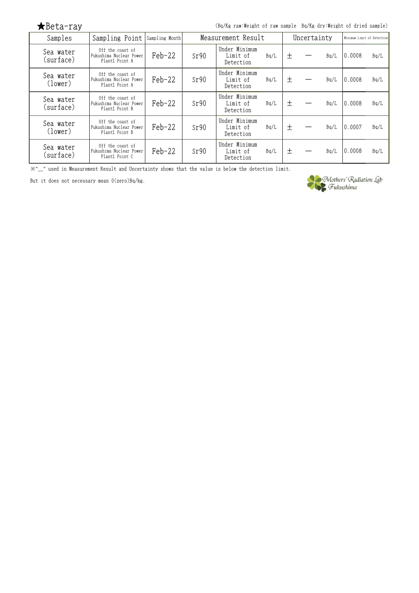| $\bigstar$ Beta-ray |  |  |  |
|---------------------|--|--|--|
|---------------------|--|--|--|

(Bq/Kg raw:Weight of raw sample Bq/Kg dry:Weight of dried sample)

| Samples                | Sampling Point                                                | Sampling Month |      | Measurement Result                     |      |   | Uncertainty |      |                  | Minimum Limit of Detection |  |
|------------------------|---------------------------------------------------------------|----------------|------|----------------------------------------|------|---|-------------|------|------------------|----------------------------|--|
| Sea water<br>(surface) | Off the coast of<br>Fukushima Nuclear Power<br>Plant1 Point A | $Feb-22$       | Sr90 | Under Minimum<br>Limit of<br>Detection | Bq/L | 土 |             | Bq/L | 0.0008           | Bq/L                       |  |
| Sea water<br>(lower)   | Off the coast of<br>Fukushima Nuclear Power<br>Plant1 Point A | $Feb-22$       | Sr90 | Under Minimum<br>Limit of<br>Detection | Bq/L | 土 |             | Bq/L | 0.0008           | Bq/L                       |  |
| Sea water<br>(surface) | Off the coast of<br>Fukushima Nuclear Power<br>Plant1 Point B | $Feb-22$       | Sr90 | Under Minimum<br>Limit of<br>Detection | Bq/L | 土 |             | Bq/L | 0.0008           | Bq/L                       |  |
| Sea water<br>(lower)   | Off the coast of<br>Fukushima Nuclear Power<br>Plant1 Point B | $Feb-22$       | Sr90 | Under Minimum<br>Limit of<br>Detection | Bq/L | 土 |             | Bq/L | 10.0007          | Bq/L                       |  |
| Sea water<br>(surface) | Off the coast of<br>Fukushima Nuclear Power<br>Plant1 Point C | $Feb-22$       | Sr90 | Under Minimum<br>Limit of<br>Detection | Bq/L | 土 |             | Bq/L | $ 0.0008\rangle$ | Bq/L                       |  |

※"\_" used in Measurement Result and Uncertainty shows that the value is below the detection limit.

But it does not necessary mean 0(zero)Bq/kg.



Mothers' Radiation Lab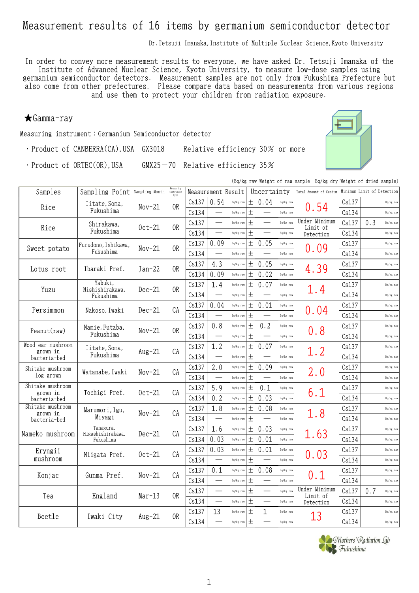## Measurement results of 16 items by germanium semiconductor detector

Dr. Tetsuji Imanaka, Institute of Multiple Nuclear Science, Kyoto University

In order to convey more measurement results to everyone, we have asked Dr. Tetsuji Imanaka of the Institute of Advanced Nuclear Science, Kyoto University, to measure low-dose samples using germanium semiconductor detectors. Measurement samples are not only from Fukushima Prefecture but also come from other prefectures. Please compare data based on measurements from various regions and use them to protect your children from radiation exposure.

### ★Gamma-ray

Measuring instrument:Germanium Semiconductor detector

・Product of CANBERRA(CA),USA GX3018 Relative efficiency 30% or more

・Product of ORTEC(OR),USA GMX25-70 Relative efficiency 35%



(Bq/kg raw:Weight of raw sample Bq/kg dry:Weight of dried sample)

| Samples                  | Sampling Point                 | Sampling Month | Measuring<br>instrument |       | Measurement Result       |           |        | Uncertainty              |           | Total Amount of Cesium    |       | Minimum Limit of Detection |
|--------------------------|--------------------------------|----------------|-------------------------|-------|--------------------------|-----------|--------|--------------------------|-----------|---------------------------|-------|----------------------------|
| Rice                     | Iitate, Soma,                  | $Nov-21$       | 0R                      | Cs137 | 0.54                     | Bq/kg raw | $\pm$  | 0.04                     | Bq/kg raw | 0.54                      | Cs137 | Bq/kg raw                  |
|                          | Fukushima                      |                |                         | Cs134 | $\overline{\phantom{0}}$ | Bq/kg raw | $\pm$  |                          | Bq/kg raw |                           | Cs134 | Bq/kg raw                  |
| Rice                     | Shirakawa,                     | $0ct-21$       | 0 <sub>R</sub>          | Cs137 |                          | Bq/kg raw | $\pm$  | $\overline{\phantom{0}}$ | Bq/kg raw | Under Minimum<br>Limit of | Cs137 | 0.3<br>Bq/kg raw           |
|                          | Fukushima                      |                |                         | Cs134 |                          | Bq/kg raw | $\pm$  | $\qquad \qquad$          | Bq/kg raw | Detection                 | Cs134 | Bq/kg raw                  |
| Sweet potato             | Furudono, Ishikawa,            | $Nov-21$       | 0 <sub>R</sub>          | Cs137 | 0.09                     | Bq/kg raw | 土      | 0.05                     | Bq/kg raw | 0.09                      | Cs137 | Bq/kg raw                  |
|                          | Fukushima                      |                |                         | Cs134 |                          | Bq/kg raw | $\pm$  |                          | Bq/kg raw |                           | Cs134 | Bq/kg raw                  |
| Lotus root               | Ibaraki Pref.                  | $Jan-22$       | 0 <sub>R</sub>          | Cs137 | 4.3                      | Bq/kg raw | $\pm$  | 0.05                     | Bq/kg raw | 4.39                      | Cs137 | Bq/kg raw                  |
|                          |                                |                |                         | Cs134 | 0.09                     | Bq/kg raw | $\pm$  | 0.02                     | Bq/kg raw |                           | Cs134 | Bq/kg raw                  |
|                          | Yabuki,<br>Nishishirakawa,     |                | 0 <sub>R</sub>          | Cs137 | 1.4                      | Bq/kg raw | $\pm$  | 0.07                     | Bq/kg raw |                           | Cs137 | Bq/kg raw                  |
| Yuzu                     | Fukushima                      | $Dec-21$       |                         | Cs134 |                          | Bq/kg raw | $\pm$  |                          | Bq/kg raw | 1.4                       | Cs134 | Bq/kg raw                  |
|                          |                                |                | CA                      | Cs137 | 0.04                     | Bq/kg raw | $\pm$  | 0.01                     | Bq/kg raw |                           | Cs137 | Bq/kg raw                  |
| Persimmon                | Nakoso, Iwaki                  | $Dec-21$       |                         | Cs134 |                          | Bq/kg raw | $\pm$  |                          | Bq/kg raw | 0.04                      | Cs134 | Bq/kg raw                  |
|                          | Namie, Futaba,                 |                | 0R                      | Cs137 | 0.8                      | Bq/kg raw | $\pm$  | 0.2                      | Bq/kg raw |                           | Cs137 | Bq/kg raw                  |
| Peanut(raw)              | Fukushima                      | $Nov-21$       |                         | Cs134 |                          | Bq/kg raw | $\pm$  |                          | Bq/kg raw | 0.8                       | Cs134 | Bq/kg raw                  |
| Wood ear mushroom        | Iitate, Soma,                  |                | CA                      | Cs137 | 1.2                      | Bq/kg raw | $\pm$  | 0.07                     | Bq/kg raw |                           | Cs137 | Bq/kg raw                  |
| grown in<br>bacteria-bed | Fukushima                      | $Aug-21$       |                         | Cs134 |                          | Bq/kg raw | $\pm$  |                          | Bq/kg raw | 1.2                       | Cs134 | Bq/kg raw                  |
| Shitake mushroom         |                                |                | CA                      | Cs137 | 2.0                      | Bq/kg raw | $\pm$  | 0.09                     | Bq/kg raw |                           | Cs137 | Bq/kg raw                  |
| log grown                | Watanabe, Iwaki                | $Nov-21$       |                         | Cs134 |                          | Bq/kg raw | 土      |                          | Bq/kg raw | 2.0                       | Cs134 | Bq/kg raw                  |
| Shitake mushroom         |                                |                | CA                      | Cs137 | 5.9                      | Bq/kg raw | $\pm$  | 0.1                      | Bq/kg raw |                           | Cs137 | Bq/kg raw                  |
| grown in<br>bacteria-bed | Tochigi Pref.                  | $0ct-21$       |                         | Cs134 | 0.2                      | Bq/kg raw | $\pm$  | 0.03                     | Bq/kg raw | 6.1                       | Cs134 | Bq/kg raw                  |
| Shitake mushroom         | Marumori, Igu,                 |                | CA                      | Cs137 | 1.8                      | Bq/kg raw | $\pm$  | 0.08                     | Bq/kg raw |                           | Cs137 | Bq/kg raw                  |
| grown in<br>bacteria-bed | Miyagi                         | $Nov-21$       |                         | Cs134 |                          | Bq/kg raw | $\pm$  |                          | Bq/kg raw | 1.8                       | Cs134 | Bq/kg raw                  |
|                          | Tanagura,                      |                | CA                      | Cs137 | 1.6                      | Bq/kg raw | $\pm$  | 0.03                     | Bq/kg raw |                           | Cs137 | Bq/kg raw                  |
| Nameko mushroom          | Higashishirakawa,<br>Fukushima | $Dec-21$       |                         | Cs134 | 0.03                     | Bq/kg raw | $\pm$  | 0.01                     | Bq/kg raw | 1.63                      | Cs134 | Bq/kg raw                  |
| Eryngii                  |                                |                |                         | Cs137 | 0.03                     | Bq/kg raw | $\pm$  | 0.01                     | Bq/kg raw |                           | Cs137 | Bq/kg raw                  |
| mushroom                 | Niigata Pref.                  | $0ct-21$       | CA                      | Cs134 |                          | Bq/kg raw | $\pm$  |                          | Bq/kg raw | 0.03                      | Cs134 | Bq/kg raw                  |
|                          |                                |                |                         | Cs137 | 0.1                      | Bq/kg raw | $\pm$  | 0.08                     | Bq/kg raw |                           | Cs137 | Bq/kg raw                  |
| Konjac                   | Gunma Pref.                    | $Nov-21$       | CA                      | Cs134 |                          | Bq/kg raw | $\pm$  |                          | Bq/kg raw | 0.1                       | Cs134 | Bq/kg raw                  |
|                          |                                |                |                         | Cs137 |                          | Bq/kg raw | $\pm$  |                          | Bq/kg raw | Under Minimum             | Cs137 | 0.7<br>Bq/kg raw           |
| Tea                      | England                        | $Mar-13$       | 0R                      | Cs134 |                          | Bq/kg raw | $\pm$  |                          | Bq/kg raw | Limit of<br>Detection     | Cs134 | Bq/kg raw                  |
|                          |                                |                | 0 <sub>R</sub>          | Cs137 | 13                       | Bq/kg raw | $^{+}$ | 1                        | Bq/kg raw |                           | Cs137 | Bq/kg raw                  |
| Beetle                   | Iwaki City                     | $Aug-21$       |                         | Cs134 |                          | Bq/kg raw | $\pm$  |                          | Bq/kg raw | 13                        | Cs134 | Bq/kg raw                  |